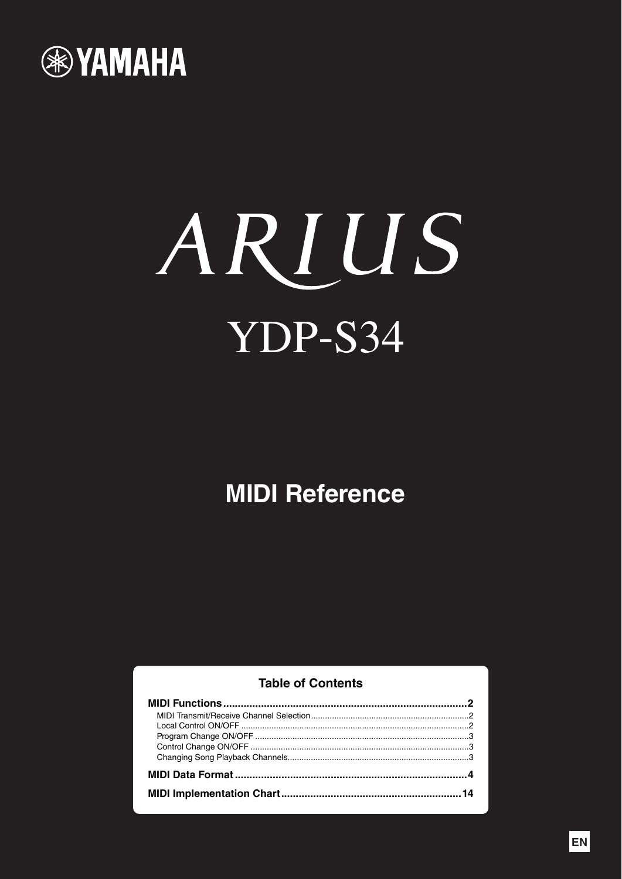

# ARIUS YDP-S34

# **MIDI Reference**

## **Table of Contents**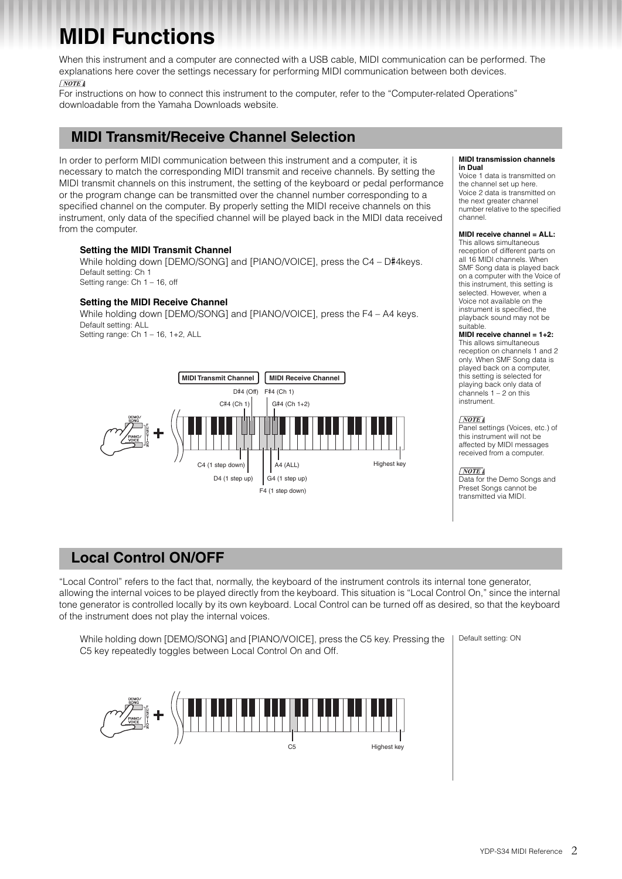# <span id="page-1-0"></span>**MIDI Functions**

When this instrument and a computer are connected with a USB cable, MIDI communication can be performed. The explanations here cover the settings necessary for performing MIDI communication between both devices.  $\sqrt{NOTE}$ 

For instructions on how to connect this instrument to the computer, refer to the "Computer-related Operations" downloadable from the Yamaha Downloads website.

## <span id="page-1-1"></span>**MIDI Transmit/Receive Channel Selection**

In order to perform MIDI communication between this instrument and a computer, it is necessary to match the corresponding MIDI transmit and receive channels. By setting the MIDI transmit channels on this instrument, the setting of the keyboard or pedal performance or the program change can be transmitted over the channel number corresponding to a specified channel on the computer. By properly setting the MIDI receive channels on this instrument, only data of the specified channel will be played back in the MIDI data received from the computer.

## **Setting the MIDI Transmit Channel**

While holding down [DEMO/SONG] and [PIANO/VOICE], press the C4 – D#4keys. Default setting: Ch 1 Setting range: Ch 1 – 16, off

## **Setting the MIDI Receive Channel**

While holding down [DEMO/SONG] and [PIANO/VOICE], press the F4 – A4 keys. Default setting: ALL Setting range: Ch 1 – 16, 1+2, ALL



#### **MIDI transmission channels in Dual**

Voice 1 data is transmitted on the channel set up here. Voice 2 data is transmitted on the next greater channel number relative to the specified channel.

#### **MIDI receive channel = ALL:**

This allows simultaneous reception of different parts on all 16 MIDI channels. When SMF Song data is played back on a computer with the Voice of this instrument, this setting is selected. However, when a Voice not available on the instrument is specified, the playback sound may not be suitable.

## **MIDI receive channel = 1+2:**

This allows simultaneous reception on channels 1 and 2 only. When SMF Song data is played back on a computer, this setting is selected for playing back only data of channels 1 – 2 on this instrument.

## $\sqrt{NOTE}$

Panel settings (Voices, etc.) of this instrument will not be affected by MIDI messages received from a computer.

#### $\sqrt{NOTE}$

Data for the Demo Songs and Preset Songs cannot be transmitted via MIDI.

## <span id="page-1-2"></span>**Local Control ON/OFF**

"Local Control" refers to the fact that, normally, the keyboard of the instrument controls its internal tone generator, allowing the internal voices to be played directly from the keyboard. This situation is "Local Control On," since the internal tone generator is controlled locally by its own keyboard. Local Control can be turned off as desired, so that the keyboard of the instrument does not play the internal voices.

While holding down [DEMO/SONG] and [PIANO/VOICE], press the C5 key. Pressing the | Default setting: ON C5 key repeatedly toggles between Local Control On and Off.

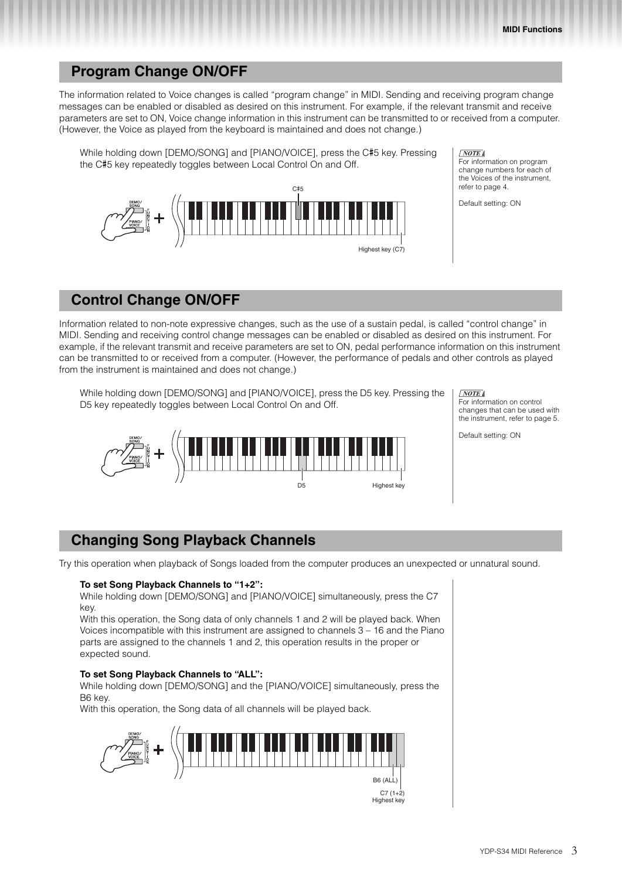## <span id="page-2-0"></span>**Program Change ON/OFF**

The information related to Voice changes is called "program change" in MIDI. Sending and receiving program change messages can be enabled or disabled as desired on this instrument. For example, if the relevant transmit and receive parameters are set to ON, Voice change information in this instrument can be transmitted to or received from a computer. (However, the Voice as played from the keyboard is maintained and does not change.)

While holding down [DEMO/SONG] and [PIANO/VOICE], press the C#5 key. Pressing the C#5 key repeatedly toggles between Local Control On and Off.



#### $\sqrt{NOTE}$

For information on program change numbers for each of the Voices of the instrument, refer to [page 4](#page-3-1).

Default setting: ON

## <span id="page-2-1"></span>**Control Change ON/OFF**

Information related to non-note expressive changes, such as the use of a sustain pedal, is called "control change" in MIDI. Sending and receiving control change messages can be enabled or disabled as desired on this instrument. For example, if the relevant transmit and receive parameters are set to ON, pedal performance information on this instrument can be transmitted to or received from a computer. (However, the performance of pedals and other controls as played from the instrument is maintained and does not change.)

While holding down [DEMO/SONG] and [PIANO/VOICE], press the D5 key. Pressing the D5 key repeatedly toggles between Local Control On and Off.



 $\sqrt{NOTE}$ 

For information on control changes that can be used with the instrument, refer to [page 5.](#page-4-0)

Default setting: ON

## <span id="page-2-3"></span><span id="page-2-2"></span>**Changing Song Playback Channels**

Try this operation when playback of Songs loaded from the computer produces an unexpected or unnatural sound.

## **To set Song Playback Channels to "1+2":**

While holding down [DEMO/SONG] and [PIANO/VOICE] simultaneously, press the C7 key.

With this operation, the Song data of only channels 1 and 2 will be played back. When Voices incompatible with this instrument are assigned to channels 3 – 16 and the Piano parts are assigned to the channels 1 and 2, this operation results in the proper or expected sound.

## **To set Song Playback Channels to "ALL":**

While holding down [DEMO/SONG] and the [PIANO/VOICE] simultaneously, press the B6 key.

With this operation, the Song data of all channels will be played back.



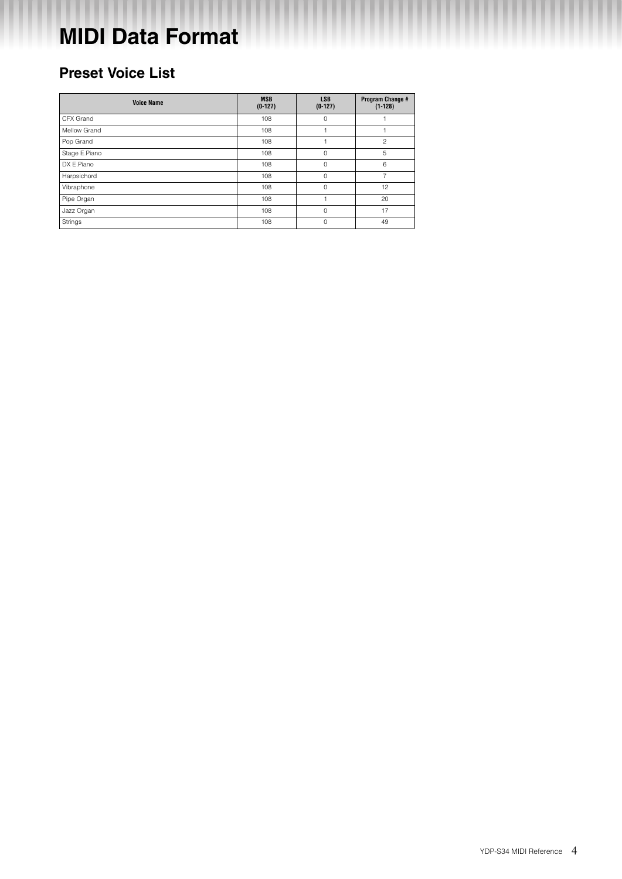# <span id="page-3-0"></span>**MIDI Data Format**

# <span id="page-3-1"></span>**Preset Voice List**

| <b>Voice Name</b> | <b>MSB</b><br>$(0-127)$ | <b>LSB</b><br>$(0-127)$ | Program Change #<br>$(1-128)$ |
|-------------------|-------------------------|-------------------------|-------------------------------|
| CFX Grand         | 108                     | $\circ$                 |                               |
| Mellow Grand      | 108                     |                         |                               |
| Pop Grand         | 108                     |                         | $\overline{c}$                |
| Stage E.Piano     | 108                     | $\Omega$                | 5                             |
| DX E.Piano        | 108                     | 0                       | 6                             |
| Harpsichord       | 108                     | $\mathbf 0$             | $\overline{7}$                |
| Vibraphone        | 108                     | $\mathbf 0$             | 12                            |
| Pipe Organ        | 108                     |                         | 20                            |
| Jazz Organ        | 108                     | $\Omega$                | 17                            |
| Strings           | 108                     | $\Omega$                | 49                            |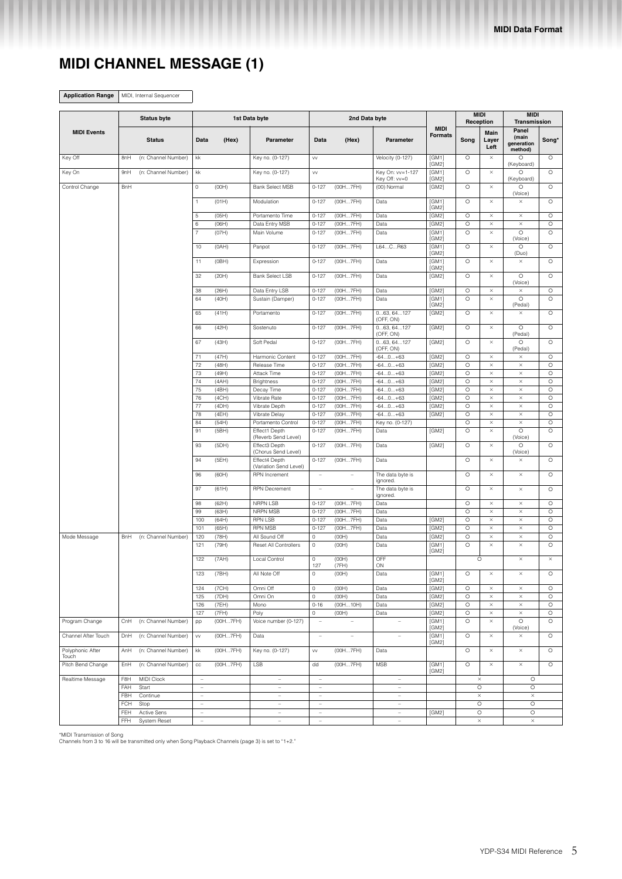# <span id="page-4-0"></span>**MIDI CHANNEL MESSAGE (1)**

**Application Range** MIDI, Internal Sequencer

| <b>Status byte</b>        |            |                     |                                                 |                   | 1st Data byte                                        |                                                      | 2nd Data byte  |                                                      |                               | <b>MIDI</b><br>Reception |                       | <b>MIDI</b><br>Transmission             |                    |
|---------------------------|------------|---------------------|-------------------------------------------------|-------------------|------------------------------------------------------|------------------------------------------------------|----------------|------------------------------------------------------|-------------------------------|--------------------------|-----------------------|-----------------------------------------|--------------------|
| <b>MIDI Events</b>        |            | <b>Status</b>       | Data                                            | (Hex)             | Parameter                                            | Data                                                 | (Hex)          | Parameter                                            | <b>MIDI</b><br><b>Formats</b> | Song                     | Main<br>Layer<br>Left | Panel<br>(main<br>generation<br>method) | Song*              |
| Key Off                   | 8nH        | (n: Channel Number) | kk                                              |                   | Key no. (0-127)                                      | VV                                                   |                | Velocity (0-127)                                     | [GM1]<br>[GM2]                | $\circ$                  | $\times$              | O<br>(Keyboard)                         | $\circ$            |
| Key On                    | 9nH        | (n: Channel Number) | kk                                              |                   | Key no. (0-127)                                      | VV                                                   |                | Key On: vv=1-127<br>Key Off: vv=0                    | [GM1]<br>[GM2]                | $\circ$                  | ×                     | O<br>(Keyboard)                         | $\circ$            |
| Control Change            | BnH        |                     | $\mathbb O$                                     | (OOH)             | <b>Bank Select MSB</b>                               | $0 - 127$                                            | (00H7FH)       | (00) Normal                                          | [GM2]                         | $\circ$                  | $\times$              | $\circ$<br>(Voice)                      | $\circ$            |
|                           |            |                     | $\mathbf{1}$                                    | (01H)             | Modulation                                           | $0 - 127$                                            | (00H7FH)       | Data                                                 | [GM1]<br>[GM2]                | $\circ$                  | $\times$              | $\times$                                | $\circ$            |
|                           |            |                     | 5                                               | (05H)             | Portamento Time                                      | $0 - 127$                                            | (00H7FH)       | Data                                                 | [GM2]                         | $\circ$                  | ×                     | $\times$                                | $\circ$            |
|                           |            |                     | 6                                               | (06H)             | Data Entry MSB                                       | $0 - 127$                                            | (00H7FH)       | Data                                                 | [GM2]                         | $\circ$                  | $\times$              | $\times$                                | $\circ$            |
|                           |            |                     | $\overline{7}$                                  | (07H)             | Main Volume                                          | $0 - 127$                                            | (00H7FH)       | Data                                                 | [GM1]<br>[GM2]                | $\circ$                  | $\times$              | $\circ$<br>(Voice)                      | $\circ$            |
|                           |            |                     | 10                                              | (OAH)             | Panpot                                               | $0 - 127$                                            | (00H7FH)       | L64CR63                                              | [GM1]<br>[GM2]                | $\circ$                  | ×                     | O<br>(Duo)                              | $\circ$            |
|                           |            |                     | 11                                              | (OBH)             | Expression                                           | $0 - 127$                                            | (00H7FH)       | Data                                                 | [GM1]<br>[GM2]                | $\circ$                  | ×                     | $\times$                                | $\circ$            |
|                           |            |                     | 32                                              | (20H)             | <b>Bank Select LSB</b>                               | $0 - 127$                                            | (00H7FH)       | Data                                                 | [GM2]                         | $\circ$                  | $\times$              | $\circ$<br>(Voice)                      | $\circ$            |
|                           |            |                     | 38                                              | (26H)             | Data Entry LSB                                       | $0 - 127$                                            | (00H7FH)       | Data                                                 | [GM2]                         | $\circ$                  | ×                     | $\times$                                | $\circ$            |
|                           |            |                     | 64                                              | (40H)             | Sustain (Damper)                                     | $0 - 127$                                            | (00H7FH)       | Data                                                 | [GM1]<br>[GM2]                | $\circ$                  | $\times$              | $\circ$<br>(Pedal)                      | $\circ$            |
|                           |            |                     | 65                                              | (41H)             | Portamento                                           | $0 - 127$                                            | (00H7FH)       | 063, 64127<br>(OFF, ON)                              | [GM2]                         | $\circ$                  | ×                     | $\times$                                | $\circ$            |
|                           |            |                     | 66                                              | (42H)             | Sostenuto                                            | $0 - 127$                                            | (00H7FH)       | 063, 64127<br>(OFF, ON)                              | [GM2]                         | $\circ$                  | ×                     | $\circ$<br>(Pedal)                      | $\circ$            |
|                           |            |                     | 67                                              | (43H)             | Soft Pedal                                           | $0 - 127$                                            | (00H7FH)       | 063, 64127<br>(OFF, ON)                              | [GM2]                         | $\circ$                  | $\times$              | $\circ$<br>(Pedal)                      | $\circ$            |
|                           |            |                     | 71                                              | (47H)             | Harmonic Content                                     | $0 - 127$                                            | (00H7FH)       | $-640+63$                                            | [GM2]                         | $\circ$                  | $\times$              | $\times$                                | $\circ$            |
|                           |            |                     | 72                                              | (48H)             | Release Time                                         | $0 - 127$                                            | (00H7FH)       | $-640+63$                                            | [GM2]                         | O                        | $\times$              | $\times$                                | $\circ$            |
|                           |            |                     | 73                                              | (49H)             | Attack Time                                          | $0 - 127$                                            | (00H7FH)       | $-640+63$                                            | [GM2]                         | $\circ$                  | $\times$              | $\times$                                | $\circ$            |
|                           |            |                     | 74                                              | (AAH)             | <b>Brightness</b>                                    | $0 - 127$                                            | (00H7FH)       | $-640+63$                                            | [GM2]                         | $\circ$                  | ×                     | $\times$                                | $\circ$            |
|                           |            |                     | 75                                              | (4BH)             | Decay Time                                           | $0 - 127$                                            | (00H7FH)       | $-640+63$                                            | [GM2]                         | $\circ$                  | $\times$              | $\times$                                | $\circ$            |
|                           |            |                     | 76                                              | (4CH)             | Vibrate Rate                                         | $0 - 127$                                            | (00H7FH)       | $-640+63$                                            | [GM2]                         | $\circ$                  | $\times$              | $\times$                                | $\circ$            |
|                           |            |                     | 77                                              | (4DH)             | Vibrate Depth                                        | $0 - 127$                                            | (00H7FH)       | $-640+63$                                            | [GM2]                         | $\circ$                  | $\times$              | $\times$                                | $\circ$            |
|                           |            |                     | 78                                              | (4EH)             | Vibrate Delay                                        | $0 - 127$                                            | (00H7FH)       | $-640+63$                                            | [GM2]                         | $\circ$                  | $\times$              | $\times$                                | $\circ$            |
|                           |            |                     | 84                                              | (54H)             | Portamento Control                                   | $0 - 127$                                            | (00H7FH)       | Key no. (0-127)                                      |                               | $\circ$                  | ×                     | $\times$                                | $\circ$            |
|                           |            |                     | 91                                              | (5BH)             | Effect1 Depth<br>(Reverb Send Level)                 | $0 - 127$                                            | (00H7FH)       | Data                                                 | [GM2]                         | $\circ$                  | $\times$              | $\circ$<br>(Voice)                      | $\circ$            |
|                           |            |                     | 93                                              | (5DH)             | Effect3 Depth<br>(Chorus Send Level)                 | $0 - 127$                                            | (00H7FH)       | Data                                                 | [GM2]                         | $\circ$                  | $\times$              | $\circ$<br>(Voice)                      | $\circ$            |
|                           |            |                     | 94                                              | (5EH)             | Effect4 Depth<br>(Variation Send Level)              | $0 - 127$                                            | (00H7FH)       | Data                                                 |                               | $\circ$                  | ×                     | $\times$                                | $\circ$            |
|                           |            |                     | 96                                              | (60H)             | RPN Increment                                        | $\overline{\phantom{a}}$                             | $\overline{a}$ | The data byte is<br>ignored.                         |                               | $\circ$                  | $\times$              | $\times$                                | $\circ$            |
|                           |            |                     | 97                                              | (61H)             | <b>RPN Decrement</b>                                 | $\bar{a}$                                            |                | The data byte is<br>ignored.                         |                               | $\circ$                  | $\times$              | $\times$                                | $\circ$            |
|                           |            |                     | 98                                              | (62H)             | NRPN LSB                                             | $0 - 127$                                            | (00H7FH)       | Data                                                 |                               | $\circ$                  | ×                     | $\times$                                | $\circ$            |
|                           |            |                     | 99                                              | (63H)             | NRPN MSB                                             | $0 - 127$                                            | (00H7FH)       | Data                                                 |                               | $\circ$                  | $\times$              | $\times$                                | $\circ$            |
|                           |            |                     | 100                                             | (64H)             | <b>RPN LSB</b>                                       | $0 - 127$                                            | (00H7FH)       | Data                                                 | [GM2]                         | $\circ$                  | $\times$              | $\times$                                | $\circ$            |
|                           |            |                     | 101                                             | (65H)             | <b>RPN MSB</b>                                       | $0 - 127$                                            | (00H7FH)       | Data                                                 | [GM2]                         | $\circ$                  | ×                     | $\times$                                | $\circ$            |
| Mode Message              | BnH        | (n: Channel Number) | 120                                             | (78H)             | All Sound Off                                        | $\circ$                                              | (OOH)          | Data                                                 | [GM2]                         | $\circ$<br>$\circ$       | $\times$<br>×         | $\times$<br>$\times$                    | $\circ$<br>$\circ$ |
|                           |            |                     | 121                                             | (79H)             | Reset All Controllers                                | $\circ$                                              | (OOH)          | Data                                                 | [GM1]<br>[GM2]                |                          |                       |                                         |                    |
|                           |            |                     | 122                                             | (7AH)             | Local Control                                        | $\mathbb O$<br>127                                   | (OOH)<br>(7FH) | OFF<br>ON                                            |                               | $\circ$                  |                       | $\times$                                | $\times$           |
|                           |            |                     | 123                                             | (7BH)             | All Note Off                                         | $\circ$                                              | (OOH)          | Data                                                 | [GM1]<br>[GM2]                | $\circ$                  | $\times$              | $\times$                                | $\circ$            |
|                           |            |                     | 124                                             | (7CH)             | Omni Off                                             | $\mathsf O$                                          | (OOH)          | Data                                                 | [GM2]                         | $\circ$                  | $\times$              | $\times$                                | $\circ$            |
|                           |            |                     | 125                                             | (7DH)             | Omni On                                              | $\mathsf{O}\xspace$                                  | (OOH)          | Data                                                 | [GM2]                         | $\circ$                  | $\times$              | $\times$                                | $\circ$            |
|                           |            |                     | 126                                             | (7EH)             | Mono                                                 | $0 - 16$                                             | (00H10H)       | Data                                                 | [GM2]                         | $\circ$                  | $\times$              | $\times$                                | $\circ$            |
| Program Change            | CnH        | (n: Channel Number) | 127                                             | (7FH)<br>(00H7FH) | Poly<br>Voice number (0-127)                         | $\mathsf{O}\xspace$<br>$\overline{\phantom{a}}$      | (OOH)          | Data<br>$\overline{\phantom{a}}$                     | [GM2]<br>[GM1]                | $\circ$<br>$\circ$       | $\times$<br>$\times$  | $\times$<br>$\circ$                     | $\circ$<br>$\circ$ |
|                           |            |                     | pp                                              |                   |                                                      |                                                      |                |                                                      | [GM2]                         |                          |                       | (Voice)                                 |                    |
| Channel After Touch       | DnH        | (n: Channel Number) | W                                               | (00H7FH)          | Data                                                 | $\sim$                                               | ÷              | ÷                                                    | [GM1]<br>[GM2]                | $\circ$                  | $\times$              | $\times$                                | $\circ$            |
| Polyphonic After<br>Touch | AnH        | (n: Channel Number) | kk                                              | (00H7FH)          | Key no. (0-127)                                      | VV                                                   | (00H7FH)       | Data                                                 |                               | $\circ$                  | ×                     | $\times$                                | $\circ$            |
| Pitch Bend Change         | EnH        | (n: Channel Number) | $_{\rm CC}$                                     | (00H7FH)          | LSB                                                  | dd                                                   | (00H7FH)       | <b>MSB</b>                                           | [GM1]<br>[GM2]                | $\circ$                  | ×                     | $\times$                                | $\circ$            |
| Realtime Message          | F8H        | MIDI Clock          | $\sim$                                          |                   | $\sim$                                               | $\sim$                                               |                | $\sim$                                               |                               | $\times$                 |                       | $\circ$                                 |                    |
|                           | FAH        | Start               | $\overline{\phantom{a}}$                        |                   | $\overline{\phantom{a}}$                             | $\overline{\phantom{a}}$                             |                | $\overline{\phantom{a}}$                             |                               | $\circ$                  |                       | $\circ$                                 |                    |
|                           | FBH<br>FCH | Continue<br>Stop    | $\bar{\phantom{a}}$<br>$\overline{\phantom{a}}$ |                   | $\overline{\phantom{a}}$<br>$\overline{\phantom{a}}$ | $\overline{\phantom{a}}$<br>$\overline{\phantom{a}}$ |                | $\overline{\phantom{a}}$<br>$\overline{\phantom{a}}$ |                               | $\times$<br>$\circ$      |                       | $\times$<br>$\circ$                     |                    |
|                           | FEH        | Active Sens         | $\overline{\phantom{a}}$                        |                   | $\overline{\phantom{a}}$                             | $\overline{\phantom{a}}$                             |                | $\overline{\phantom{a}}$                             | [GM2]                         | $\circ$                  |                       | $\circ$                                 |                    |
|                           | FFH        | System Reset        | $\blacksquare$                                  |                   | $\overline{\phantom{a}}$                             | $\overline{\phantom{a}}$                             |                | $\overline{\phantom{a}}$                             |                               | $\times$                 |                       | $\times$                                |                    |
|                           |            |                     |                                                 |                   |                                                      |                                                      |                |                                                      |                               |                          |                       |                                         |                    |

\*MIDI Transmission of Song Channels from 3 to 16 will be transmitted only when Song Playback Channels ([page 3\)](#page-2-3) is set to "1+2."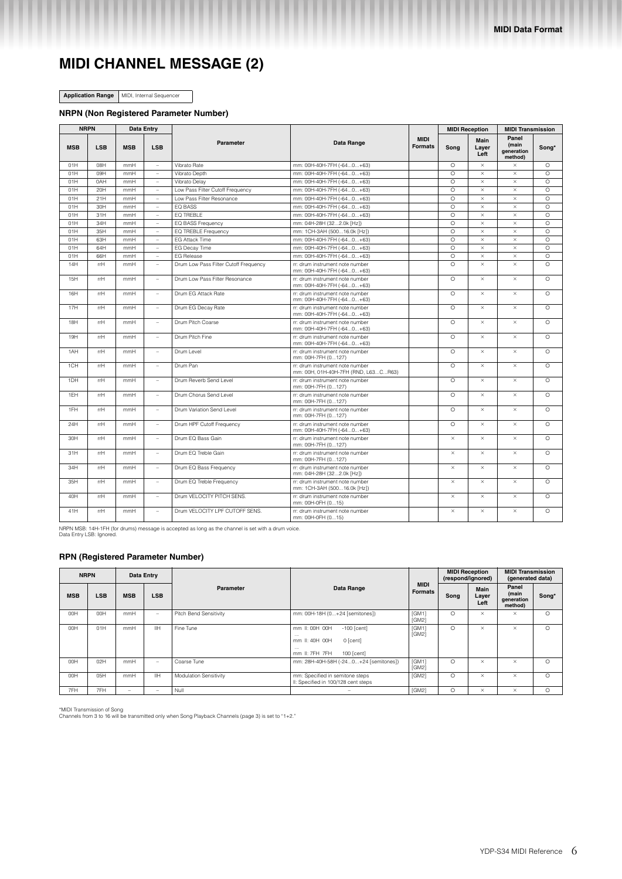# **MIDI CHANNEL MESSAGE (2)**

**Application Range** MIDI, Internal Sequencer

#### **NRPN (Non Registered Parameter Number)**

| <b>NRPN</b> |            |            | <b>Data Entry</b>        |                                       |                                                                        |                               |          | <b>MIDI Reception</b> | <b>MIDI Transmission</b>                       |          |
|-------------|------------|------------|--------------------------|---------------------------------------|------------------------------------------------------------------------|-------------------------------|----------|-----------------------|------------------------------------------------|----------|
| <b>MSB</b>  | <b>LSB</b> | <b>MSB</b> | <b>LSB</b>               | Parameter                             | Data Range                                                             | <b>MIDI</b><br><b>Formats</b> | Song     | Main<br>Layer<br>Left | Panel<br>(main<br><b>generation</b><br>method) | Song*    |
| 01H         | O8H        | mmH        | $\overline{a}$           | Vibrato Rate                          | mm: 00H-40H-7FH (-640+63)                                              |                               | $\circ$  | $\times$              | $\times$                                       | $\circ$  |
| 01H         | 09H        | mmH        | $\overline{\phantom{a}}$ | Vibrato Depth                         | mm: 00H-40H-7FH (-640+63)                                              |                               | $\circ$  | $\times$              | $\times$                                       | $\circ$  |
| 01H         | 0AH        | mmH        | $\overline{a}$           | Vibrato Delav                         | mm: 00H-40H-7FH (-640+63)                                              |                               | $\circ$  | $\times$              | $\times$                                       | $\circ$  |
| 01H         | 20H        | mmH        | $\overline{a}$           | Low Pass Filter Cutoff Frequency      | mm: 00H-40H-7FH (-640+63)                                              |                               | $\circ$  | $\times$              | $\times$                                       | $\circ$  |
| 01H         | 21H        | mmH        | ٠                        | Low Pass Filter Resonance             | mm: 00H-40H-7FH (-640+63)                                              |                               | $\circ$  | $\times$              | $\times$                                       | $\Omega$ |
| 01H         | 30H        | mmH        | $\overline{\phantom{a}}$ | EQ BASS                               | mm: 00H-40H-7FH (-640+63)                                              |                               | $\circ$  | $\times$              | $\times$                                       | $\circ$  |
| 01H         | 31H        | mmH        | $\overline{\phantom{a}}$ | EQ TREBLE                             | mm: 00H-40H-7FH (-640+63)                                              |                               | $\circ$  | $\times$              | $\times$                                       | $\circ$  |
| 01H         | 34H        | mmH        | $\overline{\phantom{a}}$ | <b>EQ BASS Frequency</b>              | mm: 04H-28H (322.0k [Hz])                                              |                               | $\Omega$ | $\times$              | $\times$                                       | $\circ$  |
| 01H         | 35H        | mmH        | $\overline{\phantom{a}}$ | <b>EQ TREBLE Frequency</b>            | mm: 1CH-3AH (50016.0k [Hz])                                            |                               | $\circ$  | $\times$              | $\times$                                       | $\circ$  |
| 01H         | 63H        | mmH        | ÷,                       | <b>EG Attack Time</b>                 | mm: 00H-40H-7FH (-640+63)                                              |                               | $\circ$  | $\times$              | $\times$                                       | $\circ$  |
| 01H         | 64H        | mmH        | $\overline{\phantom{a}}$ | <b>EG Decay Time</b>                  | mm: 00H-40H-7FH (-640+63)                                              |                               | $\circ$  | $\times$              | $\times$                                       | $\circ$  |
| 01H         | 66H        | mmH        | $\bar{a}$                | <b>EG Release</b>                     | mm: 00H-40H-7FH (-640+63)                                              |                               | $\circ$  | $\times$              | $\times$                                       | $\circ$  |
| 14H         | rrH        | mmH        | $\overline{a}$           | Drum Low Pass Filter Cutoff Frequency | rr: drum instrument note number<br>mm: 00H-40H-7FH (-640+63)           |                               | $\circ$  | $\times$              | $\times$                                       | $\circ$  |
| 15H         | rrH        | mmH        | $\sim$                   | Drum Low Pass Filter Resonance        | rr: drum instrument note number<br>mm: 00H-40H-7FH (-640+63)           |                               | $\Omega$ | $\times$              | $\times$                                       | $\Omega$ |
| 16H         | rrH        | mmH        | ÷,                       | Drum EG Attack Rate                   | rr: drum instrument note number<br>mm: 00H-40H-7FH (-640+63)           |                               | $\circ$  | $\times$              | $\times$                                       | $\circ$  |
| 17H         | rrH        | mmH        | $\sim$                   | Drum EG Decay Rate                    | rr: drum instrument note number<br>mm: 00H-40H-7FH (-640+63)           |                               | $\Omega$ | $\times$              | $\times$                                       | $\circ$  |
| 18H         | rrH        | mmH        | $\overline{a}$           | Drum Pitch Coarse                     | rr: drum instrument note number<br>mm: 00H-40H-7FH (-640+63)           |                               | $\Omega$ | $\times$              | $\times$                                       | $\Omega$ |
| 19H         | rrH        | mmH        | $\overline{a}$           | Drum Pitch Fine                       | rr: drum instrument note number<br>mm: 00H-40H-7FH (-640+63)           |                               | $\circ$  | $\times$              | $\times$                                       | $\circ$  |
| 1AH         | rrH        | mmH        | $\sim$                   | Drum Level                            | rr: drum instrument note number<br>mm: 00H-7FH (0127)                  |                               | $\Omega$ | $\times$              | $\times$                                       | $\circ$  |
| 1CH         | rrH        | mmH        | $\overline{a}$           | Drum Pan                              | rr: drum instrument note number<br>mm: 00H, 01H-40H-7FH (RND, L63CR63) |                               | $\circ$  | $\times$              | $\times$                                       | $\circ$  |
| 1DH         | rrH        | mmH        | $\overline{a}$           | Drum Reverb Send Level                | rr: drum instrument note number<br>mm: 00H-7FH (0127)                  |                               | $\circ$  | $\times$              | $\times$                                       | $\circ$  |
| 1EH         | rrH        | mmH        | $\overline{a}$           | Drum Chorus Send Level                | rr: drum instrument note number<br>mm: 00H-7FH (0127)                  |                               | $\circ$  | $\times$              | $\times$                                       | $\circ$  |
| 1FH         | rrH        | mmH        | $\sim$                   | Drum Variation Send Level             | rr: drum instrument note number<br>mm: 00H-7FH (0127)                  |                               | $\circ$  | $\times$              | $\times$                                       | $\circ$  |
| 24H         | rrH        | mmH        | ÷                        | Drum HPF Cutoff Frequency             | rr: drum instrument note number<br>mm: 00H-40H-7FH (-640+63)           |                               | $\circ$  | $\times$              | $\times$                                       | $\circ$  |
| 30H         | rrH        | mmH        | $\overline{\phantom{a}}$ | Drum FO Bass Gain                     | rr: drum instrument note number<br>mm: 00H-7FH (0127)                  |                               | $\times$ | $\times$              | $\times$                                       | $\circ$  |
| 31H         | rrH        | mmH        | ÷,                       | Drum EQ Treble Gain                   | rr: drum instrument note number<br>mm: 00H-7FH (0127)                  |                               | $\times$ | $\times$              | $\times$                                       | $\circ$  |
| 34H         | rrH        | mmH        | $\overline{a}$           | Drum EQ Bass Frequency                | rr: drum instrument note number<br>mm: 04H-28H (322.0k [Hz])           |                               | $\times$ | $\times$              | $\times$                                       | $\Omega$ |
| 35H         | rrH        | mmH        | ÷,                       | Drum EQ Treble Frequency              | rr: drum instrument note number<br>mm: 1CH-3AH (50016.0k [Hz])         |                               | $\times$ | $\times$              | $\times$                                       | $\circ$  |
| 40H         | rrH        | mmH        | $\overline{\phantom{a}}$ | Drum VELOCITY PITCH SENS.             | rr: drum instrument note number<br>mm: 00H-0FH (015)                   |                               | $\times$ | $\times$              | $\times$                                       | $\Omega$ |
| 41H         | rrH        | mmH        | $\sim$                   | Drum VELOCITY LPF CUTOFF SENS.        | rr: drum instrument note number<br>mm: 00H-0FH (015)                   |                               | $\times$ | $\times$              | $\times$                                       | $\circ$  |

NRPN MSB: 14H-1FH (for drums) message is accepted as long as the channel is set with a drum voice. Data Entry LSB: Ignored.

### **RPN (Registered Parameter Number)**

|            | <b>NRPN</b><br>Data Entry |                          |                          |                               |                                                                                                                       |                               | <b>MIDI Reception</b><br>(respond/ignored) |                       | <b>MIDI Transmission</b><br>(generated data) |          |
|------------|---------------------------|--------------------------|--------------------------|-------------------------------|-----------------------------------------------------------------------------------------------------------------------|-------------------------------|--------------------------------------------|-----------------------|----------------------------------------------|----------|
| <b>MSB</b> | <b>LSB</b>                | <b>MSB</b>               | <b>LSB</b>               | Data Range<br>Parameter       |                                                                                                                       | <b>MIDI</b><br><b>Formats</b> | Song                                       | Main<br>Layer<br>Left | Panel<br>(main<br>generation<br>method)      | Song*    |
| OOH        | 00H                       | mmH                      | $\sim$                   | Pitch Bend Sensitivity        | mm: 00H-18H (0+24 [semitones])                                                                                        | [GM1]<br>[GM2]                | $\circ$                                    | $\times$              | $\times$                                     | $\circ$  |
| OOH        | 01H                       | mmH                      | IIH.                     | Fine Tune                     | mm II: 00H 00H<br>$-100$ [cent]<br>$\cdots$<br>mm II: 40H 00H<br>0 [cent]<br>$\cdots$<br>mm II: 7FH 7FH<br>100 [cent] | [GM1]<br>[GM2]                | $\circ$                                    | $\times$              | $\times$                                     | $\circ$  |
| OOH        | 02H                       | mmH                      | $\overline{\phantom{a}}$ | Coarse Tune                   | mm: 28H-40H-58H (-240+24 [semitones])                                                                                 | [GM1]<br>[GM2]                | $\circ$                                    | $\times$              | $\times$                                     | $\circ$  |
| OOH        | 05H                       | mmH                      | IIH                      | <b>Modulation Sensitivity</b> | mm: Specified in semitone steps<br>II: Specified in 100/128 cent steps                                                | [GM2]                         | $\circ$                                    | $\times$              | $\times$                                     | $\Omega$ |
| 7FH        | 7FH                       | $\overline{\phantom{a}}$ | $\sim$                   | Null                          |                                                                                                                       | [GM2]                         | $\circ$                                    | $\times$              | $\times$                                     | $\circ$  |

\*MIDI Transmission of Song Channels from 3 to 16 will be transmitted only when Song Playback Channels ([page 3\)](#page-2-3) is set to "1+2."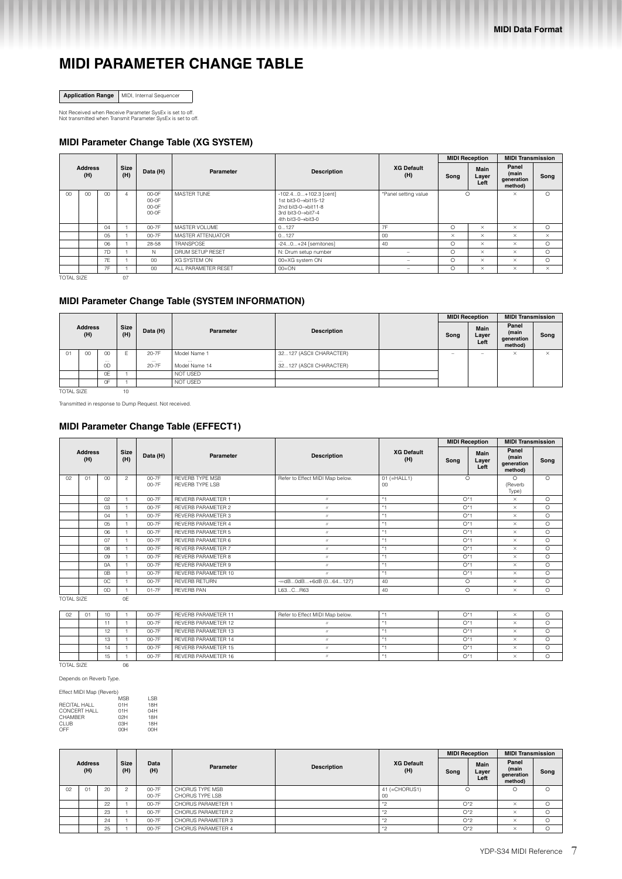## **MIDI PARAMETER CHANGE TABLE**

**Application Range** MIDI, Internal Sequencer

Not Received when Receive Parameter SysEx is set to off. Not transmitted when Transmit Parameter SysEx is set to off.

## **MIDI Parameter Change Table (XG SYSTEM)**

|                   |                       |               |                |                                    |                     |                                                                                                                |                          | <b>MIDI Reception</b> |                       | <b>MIDI Transmission</b>                |          |
|-------------------|-----------------------|---------------|----------------|------------------------------------|---------------------|----------------------------------------------------------------------------------------------------------------|--------------------------|-----------------------|-----------------------|-----------------------------------------|----------|
|                   | <b>Address</b><br>(H) |               | Size<br>(H)    | Data (H)                           | Parameter           | <b>Description</b>                                                                                             | <b>XG Default</b><br>(H) | Song                  | Main<br>Layer<br>Left | Panel<br>(main<br>generation<br>method) | Song     |
| $^{\circ}$        | 00                    | 00            | $\overline{4}$ | $00-0F$<br>00-0F<br>00-0F<br>00-0F | MASTER TUNE         | $-102.40+102.3$ [cent]<br>1st bit3-0→bit15-12<br>2nd bit3-0->bit11-8<br>3rd bit3-0→bit7-4<br>4th bit3-0→bit3-0 | *Panel setting value     | $\circ$               |                       | $\times$                                | $\circ$  |
|                   |                       | 04            |                | 00-7F                              | MASTER VOLUME       | 0127                                                                                                           | 7F                       | $\circ$               | $\times$              | $\times$                                | $\circ$  |
|                   |                       | $0.5^{\circ}$ |                | 00-7F                              | MASTER ATTENUATOR   | 0127                                                                                                           | 00                       | $\times$              | $\times$              | $\times$                                | $\times$ |
|                   |                       | 06            |                | 28-58                              | TRANSPOSE           | $-240+24$ [semitones]                                                                                          | 40                       | $\circ$               | $\times$              | $\times$                                | $\circ$  |
|                   |                       | 7D            |                | N                                  | DRUM SETUP RESET    | N: Drum setup number                                                                                           | -                        | $\circ$               | $\times$              | $\times$                                | $\circ$  |
|                   |                       | 7E            |                | 00                                 | <b>XG SYSTEM ON</b> | 00=XG system ON                                                                                                | -                        | $\circ$               | $\times$              | $\times$                                | $\circ$  |
|                   |                       | 7F            |                | $00\,$                             | ALL PARAMETER RESET | $00 = ON$                                                                                                      | -                        | $\circ$               | $\times$              | $\times$                                | $\times$ |
| <b>TOTAL SIZE</b> |                       |               | 07             |                                    |                     |                                                                                                                |                          |                       |                       |                                         |          |

## **MIDI Parameter Change Table (SYSTEM INFORMATION)**

|            |                       |                            |             |                   |                           |                                     | <b>MIDI Reception</b>    |                          | <b>MIDI Transmission</b>                |          |
|------------|-----------------------|----------------------------|-------------|-------------------|---------------------------|-------------------------------------|--------------------------|--------------------------|-----------------------------------------|----------|
|            | <b>Address</b><br>(H) |                            | Size<br>(H) | Data (H)          | Parameter                 | <b>Description</b>                  | Song                     | Main<br>Layer<br>Left    | Panel<br>(main<br>generation<br>method) | Song     |
| 01         | 00                    | 00                         | F           | 20-7F             | Model Name 1              | 32127 (ASCII CHARACTER)             | $\overline{\phantom{a}}$ | $\overline{\phantom{a}}$ | $\times$                                | $\times$ |
|            |                       | $\cdots$<br>0 <sub>D</sub> |             | $\cdots$<br>20-7F | $\cdots$<br>Model Name 14 | $\cdots$<br>32127 (ASCII CHARACTER) |                          |                          |                                         |          |
|            |                       | 0E                         |             |                   | NOT USED                  |                                     |                          |                          |                                         |          |
|            |                       | 0F                         |             |                   | NOT USED                  |                                     |                          |                          |                                         |          |
| TOTAL SIZE |                       |                            | $10 -$      |                   |                           |                                     |                          |                          |                                         |          |

Transmitted in response to Dump Request. Not received.

## **MIDI Parameter Change Table (EFFECT1)**

|    |                       |                 |                    |                |                                                  |                                 |                          | <b>MIDI Reception</b>                |         | <b>MIDI Transmission</b>                |          |          |         |          |         |          |         |
|----|-----------------------|-----------------|--------------------|----------------|--------------------------------------------------|---------------------------------|--------------------------|--------------------------------------|---------|-----------------------------------------|----------|----------|---------|----------|---------|----------|---------|
|    | <b>Address</b><br>(H) |                 | <b>Size</b><br>(H) | Data (H)       | <b>Parameter</b>                                 | <b>Description</b>              | <b>XG Default</b><br>(H) | <b>Main</b><br>Song<br>Layer<br>Left |         | Panel<br>(main<br>generation<br>method) | Song     |          |         |          |         |          |         |
| 02 | 01                    | 00 <sup>1</sup> | $\overline{c}$     | 00-7F<br>00-7F | <b>REVERB TYPE MSB</b><br><b>REVERB TYPE LSB</b> | Refer to Effect MIDI Map below. | $01 (=HALL1)$<br>00      | $\circ$                              |         | $\circ$<br>(Reverb<br>Type)             | $\circ$  |          |         |          |         |          |         |
|    |                       | 02              |                    | 00-7F          | <b>REVERB PARAMETER 1</b>                        | $\prime\prime$                  | $* -$                    | $O*1$                                |         |                                         |          |          |         | $\times$ | $\circ$ |          |         |
|    |                       | 03              |                    | 00-7F          | REVERB PARAMETER 2                               | $^{\prime\prime}$               | $* +$                    | $O*1$                                |         |                                         |          |          |         | $\times$ | $\circ$ |          |         |
|    |                       | 04              |                    | 00-7F          | REVERB PARAMETER 3                               | $\prime\prime$                  | $* -$                    | $O*1$                                |         |                                         |          |          |         |          |         | $\times$ | $\circ$ |
|    |                       | 05              |                    | 00-7F          | <b>REVERB PARAMETER 4</b>                        | $\mathcal{U}$                   | $* +$                    | $O*1$                                |         | $\times$                                | $\circ$  |          |         |          |         |          |         |
|    |                       | 06              |                    | 00-7F          | <b>REVERB PARAMETER 5</b>                        | $\prime\prime$                  | $*1$                     | $O*1$                                |         |                                         |          | $\times$ | $\circ$ |          |         |          |         |
|    |                       | 07              |                    | 00-7F          | REVERB PARAMETER 6                               | $^{\prime\prime}$               | $* -$                    | $O*1$                                |         | $\times$                                | $\circ$  |          |         |          |         |          |         |
|    |                       | 08              |                    | 00-7F          | <b>REVERB PARAMETER 7</b>                        | $\prime\prime$                  | $* -$                    | $O*1$                                |         | $\times$                                | $\circ$  |          |         |          |         |          |         |
|    |                       | 09              |                    | 00-7F          | REVERB PARAMETER 8                               | $^{\prime\prime}$               | $* -$                    | $O*1$                                |         | $\times$                                | $\Omega$ |          |         |          |         |          |         |
|    |                       | 0A              |                    | 00-7F          | REVERB PARAMETER 9                               | $^{\prime\prime}$               | $* -$                    | $O*1$                                |         | $\times$                                | $\Omega$ |          |         |          |         |          |         |
|    |                       | 0B              |                    | 00-7F          | REVERB PARAMETER 10                              | $^{\prime\prime}$               | $* -$                    | $O*1$                                |         | $\times$                                | $\circ$  |          |         |          |         |          |         |
|    |                       | 0C              |                    | 00-7F          | <b>REVERB RETURN</b>                             | -∞dB0dB+6dB (064127)            | 40                       |                                      | $\circ$ | $\times$                                | $\circ$  |          |         |          |         |          |         |
|    |                       | 0D              |                    | $01-7F$        | <b>REVERB PAN</b>                                | L63CR63                         | 40                       |                                      | $\circ$ | $\times$                                | $\circ$  |          |         |          |         |          |         |

TOTAL SIZE OE

| 02                | 01 | 10 |    | 00-7F | REVERB PARAMETER 11 | Refer to Effect MIDI Map below. | $\bigcap$ *       | ∼            |  |
|-------------------|----|----|----|-------|---------------------|---------------------------------|-------------------|--------------|--|
|                   |    |    |    | 00-7F | REVERB PARAMETER 12 |                                 | O*                | ∧            |  |
|                   |    | 12 |    | 00-7F | REVERB PARAMETER 13 |                                 | $O^*$             | ᄎ            |  |
|                   |    | 13 |    | 00-7F | REVERB PARAMETER 14 |                                 | $\bigcap_{i=1}^n$ | $\checkmark$ |  |
|                   |    | 14 |    | 00-7F | REVERB PARAMETER 15 |                                 | $\bigcap^*$       | $\sim$       |  |
|                   |    | 15 |    | 00-7F | REVERB PARAMETER 16 |                                 | $\bigcap$ *       |              |  |
| <b>TOTAL SIZE</b> |    |    | 06 |       |                     |                                 |                   |              |  |

Depends on Reverb Type.

| Effect MIDI Map (Reverb) |            |            |
|--------------------------|------------|------------|
|                          | <b>MSB</b> | <b>LSB</b> |
| RECITAL HALL             | 01H        | 18H        |
| <b>CONCERT HALL</b>      | 01H        | 04H        |
| CHAMBER                  | 02H        | 18H        |
| CLUB.                    | 0.3H       | 18H        |
| OFF                      | 00H        | 00H        |

|    |                       |    |                    |                |                                    |                    |                          | <b>MIDI Reception</b> |                       | <b>MIDI Transmission</b>                |          |          |  |
|----|-----------------------|----|--------------------|----------------|------------------------------------|--------------------|--------------------------|-----------------------|-----------------------|-----------------------------------------|----------|----------|--|
|    | <b>Address</b><br>(H) |    | <b>Size</b><br>(H) | Data<br>(H)    | <b>Parameter</b>                   | <b>Description</b> | <b>XG Default</b><br>(H) | Song                  | Main<br>Layer<br>Left | Panel<br>(main<br>generation<br>method) | Song     |          |  |
| 02 | 01                    | 20 | o                  | 00-7F<br>00-7F | CHORUS TYPE MSB<br>CHORUS TYPE LSB |                    | 41 (=CHORUS1)<br>00      |                       |                       | $\circ$                                 | Ω        |          |  |
|    |                       | 22 |                    | 00-7F          | CHORUS PARAMETER 1                 |                    | $*$                      | $O^*2$                |                       | $\times$                                | $\Omega$ |          |  |
|    |                       | 23 |                    | 00-7F          | CHORUS PARAMETER 2                 |                    | $*$                      | $O^*2$                |                       |                                         |          | $\times$ |  |
|    |                       | 24 |                    | 00-7F          | CHORUS PARAMETER 3                 |                    | $*$                      | $O^*2$                |                       | $\times$                                |          |          |  |
|    |                       | 25 |                    | 00-7F          | CHORUS PARAMETER 4                 |                    | $*$                      | $O^*2$                |                       | $\times$                                | $\circ$  |          |  |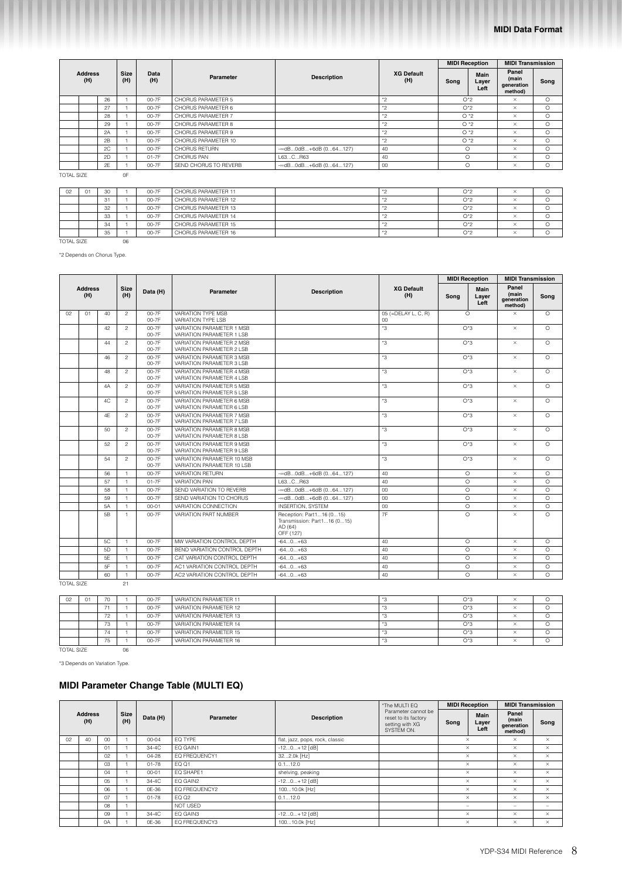|                   |                       |    |                    |             |                       |                      |                          | <b>MIDI Reception</b>         |       | <b>MIDI Transmission</b>                |         |          |         |  |  |          |         |
|-------------------|-----------------------|----|--------------------|-------------|-----------------------|----------------------|--------------------------|-------------------------------|-------|-----------------------------------------|---------|----------|---------|--|--|----------|---------|
|                   | <b>Address</b><br>(H) |    | <b>Size</b><br>(H) | Data<br>(H) | Parameter             | <b>Description</b>   | <b>XG Default</b><br>(H) | Main<br>Song<br>Layer<br>Left |       | Panel<br>(main<br>generation<br>method) | Song    |          |         |  |  |          |         |
|                   |                       | 26 |                    | 00-7F       | CHORUS PARAMETER 5    |                      | $*2$                     | $O^*2$                        |       |                                         |         | $\times$ | $\circ$ |  |  |          |         |
|                   |                       | 27 |                    | 00-7F       | CHORUS PARAMETER 6    |                      | $*_{2}$                  | $O^*2$                        |       |                                         |         |          |         |  |  | $\times$ | $\circ$ |
|                   |                       | 28 |                    | 00-7F       | CHORUS PARAMETER 7    |                      | $*_{2}$                  | $O*2$                         |       |                                         |         |          |         |  |  | $\times$ | $\circ$ |
|                   |                       | 29 |                    | 00-7F       | CHORUS PARAMETER 8    |                      | $*_{2}$                  | $O*2$                         |       | $\times$                                | $\circ$ |          |         |  |  |          |         |
|                   |                       | 2A |                    | 00-7F       | CHORUS PARAMETER 9    |                      | $*_{2}$                  | $O*2$                         |       | $\times$                                | $\circ$ |          |         |  |  |          |         |
|                   |                       | 2B |                    | 00-7F       | CHORUS PARAMETER 10   |                      | $*_{2}$                  |                               | $O*2$ | $\times$                                | $\circ$ |          |         |  |  |          |         |
|                   |                       | 2C |                    | 00-7F       | <b>CHORUS RETURN</b>  | -∞dB0dB+6dB (064127) | 40                       | $\circ$                       |       | $\times$                                | $\circ$ |          |         |  |  |          |         |
|                   |                       | 2D |                    | $01-7F$     | CHORUS PAN            | L63CR63              | 40                       | $\Omega$                      |       | $\times$                                | $\circ$ |          |         |  |  |          |         |
|                   |                       | 2E |                    | 00-7F       | SEND CHORUS TO REVERB | -∞dB0dB+6dB (064127) | 00                       | $\circ$                       |       | $\times$                                | O       |          |         |  |  |          |         |
| <b>TOTAL SIZE</b> |                       |    | 0F                 |             |                       |                      |                          |                               |       |                                         |         |          |         |  |  |          |         |

| 02                | 01 | 30 |    | 00-7F | CHORUS PARAMETER 11 | $*$ | $O^*2$ | <b>A A</b> |  |
|-------------------|----|----|----|-------|---------------------|-----|--------|------------|--|
|                   |    | 31 |    | 00-7F | CHORUS PARAMETER 12 | $*$ | $O^*2$ |            |  |
|                   |    | 32 |    | 00-7F | CHORUS PARAMETER 13 |     | $O^*2$ |            |  |
|                   |    | 33 |    | 00-7F | CHORUS PARAMETER 14 |     | $O^*2$ | ⌒          |  |
|                   |    | 34 |    | 00-7F | CHORUS PARAMETER 15 | $*$ | $O^*2$ | $\sim$     |  |
|                   |    | 35 |    | 00-7F | CHORUS PARAMETER 16 | $*$ | $O^*2$ | <b>A A</b> |  |
| <b>TOTAL SIZE</b> |    |    | 06 |       |                     |     |        |            |  |

\*2 Depends on Chorus Type.

|                   |                       |                |                    |                    |                                                          |                                                                                 |                               |       | <b>MIDI Reception</b> | <b>MIDI Transmission</b>                       |          |  |  |  |  |          |         |
|-------------------|-----------------------|----------------|--------------------|--------------------|----------------------------------------------------------|---------------------------------------------------------------------------------|-------------------------------|-------|-----------------------|------------------------------------------------|----------|--|--|--|--|----------|---------|
|                   | <b>Address</b><br>(H) |                | <b>Size</b><br>(H) | Data (H)           | <b>Parameter</b>                                         | <b>Description</b>                                                              | <b>XG Default</b><br>(H)      | Song  | Main<br>Layer<br>Left | Panel<br>(main<br><b>generation</b><br>method) | Song     |  |  |  |  |          |         |
| 02                | 01                    | 40             | $\mathcal{P}$      | 00-7F<br>00-7F     | VARIATION TYPE MSB<br>VARIATION TYPE LSB                 |                                                                                 | 05 (=DELAY L, C, R)<br>$00\,$ |       | $\Omega$              | $\times$                                       | $\Omega$ |  |  |  |  |          |         |
|                   |                       | 42             | $\overline{c}$     | 00-7F<br>00-7F     | VARIATION PARAMETER 1 MSB<br>VARIATION PARAMETER 1 LSB   |                                                                                 | *3                            |       | $O*3$                 | $\times$                                       | $\Omega$ |  |  |  |  |          |         |
|                   |                       | 44             | $\overline{c}$     | $00 - 7F$<br>00-7F | VARIATION PARAMETER 2 MSB<br>VARIATION PARAMETER 2 LSB   |                                                                                 | *3                            |       | $O*3$                 | $\times$                                       | $\circ$  |  |  |  |  |          |         |
|                   |                       | 46             | $\overline{c}$     | $00 - 7F$<br>00-7F | VARIATION PARAMETER 3 MSB<br>VARIATION PARAMETER 3 LSB   |                                                                                 | *3                            |       | $O*3$                 | $\times$                                       | $\Omega$ |  |  |  |  |          |         |
|                   |                       | 48             | $\overline{c}$     | 00-7F<br>00-7F     | VARIATION PARAMETER 4 MSB<br>VARIATION PARAMETER 4 LSB   |                                                                                 | *3                            |       | $O*3$                 | $\times$                                       | $\Omega$ |  |  |  |  |          |         |
|                   |                       | 4A             | $\overline{c}$     | 00-7F<br>00-7F     | VARIATION PARAMETER 5 MSB<br>VARIATION PARAMETER 5 LSB   |                                                                                 | *3                            |       | $O*3$                 | $\times$                                       | $\circ$  |  |  |  |  |          |         |
|                   |                       | 4C             | $\overline{c}$     | 00-7F<br>00-7F     | VARIATION PARAMETER 6 MSB<br>VARIATION PARAMETER 6 LSB   |                                                                                 | *3                            | $O*3$ |                       |                                                |          |  |  |  |  | $\times$ | $\circ$ |
|                   |                       | 4F             | $\overline{c}$     | $00 - 7F$<br>00-7F | VARIATION PARAMETER 7 MSB<br>VARIATION PARAMETER 7 LSB   |                                                                                 | *3                            | $O*3$ |                       | $\times$                                       | $\Omega$ |  |  |  |  |          |         |
|                   |                       | 50             | $\overline{c}$     | 00-7F<br>00-7F     | VARIATION PARAMETER 8 MSB<br>VARIATION PARAMETER 8 LSB   |                                                                                 | *3                            | $O*3$ |                       | $\times$                                       | $\circ$  |  |  |  |  |          |         |
|                   |                       | 52             | $\overline{c}$     | 00-7F<br>00-7F     | VARIATION PARAMETER 9 MSB<br>VARIATION PARAMETER 9 LSB   |                                                                                 | *3                            |       | $O^*3$                | $\times$                                       | $\Omega$ |  |  |  |  |          |         |
|                   |                       | 54             | $\overline{c}$     | 00-7F<br>00-7F     | VARIATION PARAMETER 10 MSB<br>VARIATION PARAMETER 10 LSB |                                                                                 | *3                            |       | $O*3$                 | $\times$                                       | $\Omega$ |  |  |  |  |          |         |
|                   |                       | 56             | $\mathbf{1}$       | 00-7F              | <b>VARIATION RETURN</b>                                  | $ \infty$ dB0dB $+6$ dB $(064127)$                                              | 40                            |       | $\circ$               | $\times$                                       | $\circ$  |  |  |  |  |          |         |
|                   |                       | 57             | $\overline{1}$     | $01 - 7F$          | <b>VARIATION PAN</b>                                     | L63CR63                                                                         | 40                            |       | $\circ$               | $\times$                                       | $\circ$  |  |  |  |  |          |         |
|                   |                       | 58             | $\overline{1}$     | 00-7F              | SEND VARIATION TO REVERB                                 | -~ dB0dB+6dB (064127)                                                           | 00                            |       | $\circ$               | $\times$                                       | $\circ$  |  |  |  |  |          |         |
|                   |                       | 59             | $\mathbf{1}$       | 00-7F              | SEND VARIATION TO CHORUS                                 | -∞dB0dB+6dB (064127)                                                            | 00                            |       | $\circ$               | $\times$                                       | $\circ$  |  |  |  |  |          |         |
|                   |                       | <b>5A</b>      | $\overline{1}$     | $00 - 01$          | VARIATION CONNECTION                                     | <b>INSERTION, SYSTEM</b>                                                        | 00                            |       | $\circ$               | $\times$                                       | $\circ$  |  |  |  |  |          |         |
|                   |                       | 5 <sub>B</sub> | $\mathbf{1}$       | 00-7F              | VARIATION PART NUMBER                                    | Reception: Part116 (015)<br>Transmission: Part116 (015)<br>AD (64)<br>OFF (127) | 7F                            |       | $\circ$               | $\times$                                       | $\Omega$ |  |  |  |  |          |         |
|                   |                       | 5C             | $\overline{1}$     | 00-7F              | MW VARIATION CONTROL DEPTH                               | $-640+63$                                                                       | 40                            |       | $\circ$               | $\times$                                       | $\circ$  |  |  |  |  |          |         |
|                   |                       | 5D             | $\overline{1}$     | $00 - 7F$          | BEND VARIATION CONTROL DEPTH                             | $-640+63$                                                                       | 40                            |       | $\circ$               | $\times$                                       | $\Omega$ |  |  |  |  |          |         |
|                   |                       | 5F             | $\mathbf{1}$       | 00-7F              | CAT VARIATION CONTROL DEPTH                              | $-640+63$                                                                       | 40                            |       | $\Omega$              | $\times$                                       | $\circ$  |  |  |  |  |          |         |
|                   |                       | 5F             | $\mathbf{1}$       | 00-7F              | AC1 VARIATION CONTROL DEPTH                              | $-640+63$                                                                       | 40                            |       | $\circ$               | $\times$                                       | $\circ$  |  |  |  |  |          |         |
|                   |                       | 60             | $\mathbf{1}$       | 00-7F              | AC2 VARIATION CONTROL DEPTH                              | $-640+63$                                                                       | 40                            |       | $\circ$               | $\times$                                       | $\circ$  |  |  |  |  |          |         |
| <b>TOTAL SIZE</b> |                       |                | 21                 |                    |                                                          |                                                                                 |                               |       |                       |                                                |          |  |  |  |  |          |         |

| 02 | 01 |               | 00-7F | VARIATION PARAMETER 11 |  | O*3    | ⌒           |  |
|----|----|---------------|-------|------------------------|--|--------|-------------|--|
|    |    |               | 00-7F | VARIATION PARAMETER 12 |  | $O^*3$ | $\sim$      |  |
|    |    | $\rightarrow$ | 00-7F | VARIATION PARAMETER 13 |  | O*3    | $\sim$      |  |
|    |    |               | 00-7F | VARIATION PARAMETER 14 |  | O*3    | $\sim$      |  |
|    |    |               | 00-7F | VARIATION PARAMETER 15 |  | O*3    | $\sim$<br>⌒ |  |
|    |    |               | 00-7F | VARIATION PARAMETER 16 |  | O*3    | <b>A A</b>  |  |
|    |    |               |       |                        |  |        |             |  |

TOTAL SIZE 06

\*3 Depends on Variation Type.

## **MIDI Parameter Change Table (MULTI EQ)**

|    |                       |    | *The MULTI EQ |           |               | <b>MIDI Reception</b>           |                                                                              | <b>MIDI Transmission</b> |                       |                                         |          |
|----|-----------------------|----|---------------|-----------|---------------|---------------------------------|------------------------------------------------------------------------------|--------------------------|-----------------------|-----------------------------------------|----------|
|    | <b>Address</b><br>(H) |    | Size<br>(H)   | Data (H)  | Parameter     | <b>Description</b>              | Parameter cannot be<br>reset to its factory<br>setting with XG<br>SYSTEM ON. | Song                     | Main<br>Layer<br>Left | Panel<br>(main<br>generation<br>method) | Song     |
| 02 | 40                    | 00 |               | $00 - 04$ | EQ TYPE       | flat, jazz, pops, rock, classic |                                                                              | $\times$                 |                       | $\times$                                | $\times$ |
|    |                       | 01 |               | 34-4C     | EQ GAIN1      | $-120+12$ [dB]                  |                                                                              | $\times$                 |                       | $\times$                                | $\times$ |
|    |                       | 02 |               | $04 - 28$ | EQ FREQUENCY1 | 322.0k [Hz]                     |                                                                              | $\times$                 |                       | $\times$                                | $\times$ |
|    |                       | 03 |               | $01 - 78$ | EQ 01         | 0.112.0                         |                                                                              | $\times$                 |                       | $\times$                                | $\times$ |
|    |                       | 04 |               | $00 - 01$ | EQ SHAPE1     | shelving, peaking               |                                                                              | $\times$                 |                       | $\times$                                | $\times$ |
|    |                       | 05 |               | 34-4C     | EQ GAIN2      | $-120+12$ [dB]                  |                                                                              | $\times$                 |                       | $\times$                                | $\times$ |
|    |                       | 06 |               | 0E-36     | EQ FREQUENCY2 | 10010.0k [Hz]                   |                                                                              | $\times$                 |                       | $\times$                                | $\times$ |
|    |                       | 07 |               | $01 - 78$ | EQ 02         | 0.112.0                         |                                                                              | $\times$                 |                       | $\times$                                | $\times$ |
|    |                       | 08 |               |           | NOT USED      |                                 |                                                                              |                          |                       | -                                       |          |
|    |                       | 09 |               | 34-4C     | EQ GAIN3      | $-120+12$ [dB]                  |                                                                              | $\times$                 |                       | $\times$                                | $\times$ |
|    |                       | 0A |               | 0E-36     | EQ FREQUENCY3 | 10010.0k [Hz]                   |                                                                              | $\times$                 |                       | $\times$                                | $\times$ |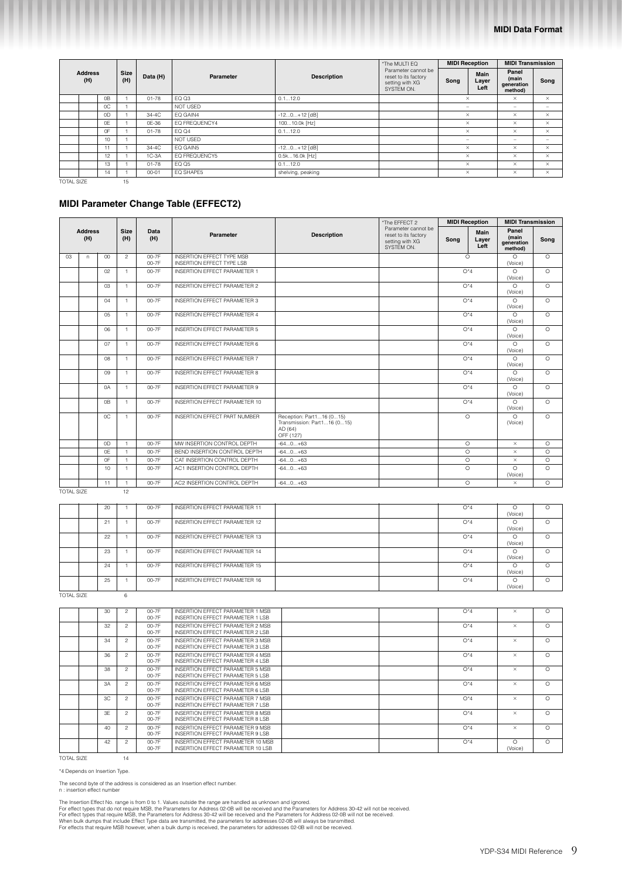|                       |    |                    |           |               |                    | *The MULTI EQ                                                                | <b>MIDI Reception</b>    |                       | <b>MIDI Transmission</b>                |                          |          |          |
|-----------------------|----|--------------------|-----------|---------------|--------------------|------------------------------------------------------------------------------|--------------------------|-----------------------|-----------------------------------------|--------------------------|----------|----------|
| <b>Address</b><br>(H) |    | <b>Size</b><br>(H) | Data (H)  | Parameter     | <b>Description</b> | Parameter cannot be<br>reset to its factory<br>setting with XG<br>SYSTEM ON. | Song                     | Main<br>Layer<br>Left | Panel<br>(main<br>generation<br>method) | Song                     |          |          |
|                       | 0B |                    | $01 - 78$ | EQ Q3         | 0.112.0            |                                                                              | $\times$                 |                       | $\times$                                | $\times$                 |          |          |
|                       | 0C |                    |           | NOT USED      |                    |                                                                              | -                        |                       | $\sim$                                  | $\overline{\phantom{a}}$ |          |          |
|                       | 0D |                    | 34-4C     | EQ GAIN4      | $-120+12$ [dB]     |                                                                              | $\times$                 |                       |                                         |                          | $\times$ | $\times$ |
|                       | 0E |                    | 0E-36     | EQ FREQUENCY4 | 10010.0k [Hz]      |                                                                              | $\times$                 |                       | $\times$                                | $\times$                 |          |          |
|                       | 0F |                    | $01 - 78$ | <b>EQ 04</b>  | 0.112.0            |                                                                              | $\times$                 |                       | $\times$                                | $\times$                 |          |          |
|                       | 10 |                    |           | NOT USED      |                    |                                                                              | $\overline{\phantom{m}}$ |                       | $\sim$                                  | $\overline{\phantom{0}}$ |          |          |
|                       | 11 |                    | 34-4C     | EQ GAIN5      | $-120+12$ [dB]     |                                                                              |                          | $\times$              | $\times$                                | $\times$                 |          |          |
|                       | 12 |                    | $1C-3A$   | EQ FREQUENCY5 | 0.5k16.0k [Hz]     |                                                                              |                          | $\times$              | $\times$                                | $\times$                 |          |          |
|                       | 13 |                    | $01 - 78$ | EQ Q5         | 0.112.0            |                                                                              |                          | $\times$              | $\times$                                | $\times$                 |          |          |
|                       | 14 |                    | $00 - 01$ | EQ SHAPE5     | shelving, peaking  |                                                                              |                          | $\times$              | $\times$                                | $\times$                 |          |          |
| <b>TOTAL SIZE</b>     |    | 15                 |           |               |                    |                                                                              |                          |                       |                                         |                          |          |          |

## **MIDI Parameter Change Table (EFFECT2)**

|                   |                       |                |                    |                |                                                                      |                                                                                 | *The EFFECT 2                                                                | <b>MIDI Reception</b> |                       | <b>MIDI Transmission</b>                |          |                    |         |                     |         |
|-------------------|-----------------------|----------------|--------------------|----------------|----------------------------------------------------------------------|---------------------------------------------------------------------------------|------------------------------------------------------------------------------|-----------------------|-----------------------|-----------------------------------------|----------|--------------------|---------|---------------------|---------|
|                   | <b>Address</b><br>(H) |                | <b>Size</b><br>(H) | Data<br>(H)    | Parameter                                                            | <b>Description</b>                                                              | Parameter cannot be<br>reset to its factory<br>setting with XG<br>SYSTEM ON. | Sona                  | Main<br>Layer<br>Left | Panel<br>(main<br>generation<br>method) | Song     |                    |         |                     |         |
| 03                | n.                    | 00             | $\overline{c}$     | 00-7F<br>00-7F | <b>INSERTION EFFECT TYPE MSB</b><br><b>INSERTION EFFECT TYPE LSB</b> |                                                                                 |                                                                              | $\circ$               |                       | $\circ$<br>(Voice)                      | $\circ$  |                    |         |                     |         |
|                   |                       | 02             | $\mathbf{1}$       | $00 - 7F$      | INSERTION FFFFCT PARAMETER 1                                         |                                                                                 |                                                                              | $O^*4$                |                       | $\circ$<br>(Voice)                      | $\Omega$ |                    |         |                     |         |
|                   |                       | 03             | $\mathbf{1}$       | 00-7F          | INSERTION EFFECT PARAMETER 2                                         |                                                                                 |                                                                              | $O^*4$                |                       | $\circ$<br>(Voice)                      | $\circ$  |                    |         |                     |         |
|                   |                       | 04             | $\mathbf{1}$       | 00-7F          | INSERTION EFFECT PARAMETER 3                                         |                                                                                 |                                                                              | $O^*4$                |                       | $\circ$<br>(Voice)                      | $\circ$  |                    |         |                     |         |
|                   |                       | $0.5\,$        | $\mathbf{1}$       | $00 - 7F$      | INSERTION EFFECT PARAMETER 4                                         |                                                                                 |                                                                              | $O^*4$                |                       | $\circ$<br>(Voice)                      | $\circ$  |                    |         |                     |         |
|                   |                       | 06             | $\mathbf{1}$       | 00-7F          | INSERTION EFFECT PARAMETER 5                                         |                                                                                 |                                                                              | $O^*4$                |                       |                                         |          |                    |         | $\Omega$<br>(Voice) | $\circ$ |
|                   |                       | 07             | $\mathbf{1}$       | 00-7F          | INSERTION EFFECT PARAMETER 6                                         |                                                                                 |                                                                              | $O^*4$                |                       |                                         |          | $\circ$<br>(Voice) | $\circ$ |                     |         |
|                   |                       | O8             | $\mathbf{1}$       | $00 - 7F$      | INSERTION EFFECT PARAMETER 7                                         |                                                                                 |                                                                              | $O^*4$                |                       | $\circ$<br>(Voice)                      | $\circ$  |                    |         |                     |         |
|                   |                       | 09             | $\mathbf{1}$       | 00-7F          | <b>INSERTION EFFECT PARAMETER 8</b>                                  |                                                                                 |                                                                              | $O^*4$                |                       | $\circ$<br>(Voice)                      | $\circ$  |                    |         |                     |         |
|                   |                       | $\Omega$       | $\mathbf{1}$       | 00-7F          | INSERTION EFFECT PARAMETER 9                                         |                                                                                 |                                                                              | $O^*4$                |                       | $\circ$<br>(Voice)                      | $\Omega$ |                    |         |                     |         |
|                   |                       | 0B             | $\mathbf{1}$       | 00-7F          | INSERTION EFFECT PARAMETER 10                                        |                                                                                 |                                                                              | $O^*4$                |                       | $\Omega$<br>(Voice)                     | $\circ$  |                    |         |                     |         |
|                   |                       | OC             | $\mathbf{1}$       | 00-7F          | INSERTION EFFECT PART NUMBER                                         | Reception: Part116 (015)<br>Transmission: Part116 (015)<br>AD (64)<br>OFF (127) |                                                                              | $\Omega$              |                       | $\Omega$<br>(Voice)                     | $\Omega$ |                    |         |                     |         |
|                   |                       | 0 <sub>D</sub> | $\overline{1}$     | 00-7F          | MW INSERTION CONTROL DEPTH                                           | $-640+63$                                                                       |                                                                              | $\Omega$              |                       | $\times$                                | $\Omega$ |                    |         |                     |         |
|                   |                       | 0E             | $\mathbf{1}$       | 00-7F          | BEND INSERTION CONTROL DEPTH                                         | $-640+63$                                                                       |                                                                              | $\circ$               |                       | $\times$                                | $\circ$  |                    |         |                     |         |
|                   |                       | 0F             | $\mathbf{1}$       | 00-7F          | CAT INSERTION CONTROL DEPTH                                          | $-640+63$                                                                       |                                                                              | O                     |                       | $\times$                                | $\circ$  |                    |         |                     |         |
|                   |                       | 10             | $\mathbf{1}$       | 00-7F          | AC1 INSERTION CONTROL DEPTH                                          | $-640+63$                                                                       |                                                                              | $\circ$               |                       | $\Omega$<br>(Voice)                     | $\circ$  |                    |         |                     |         |
|                   |                       | 11             | H,                 | $00 - 7F$      | AC2 INSERTION CONTROL DEPTH                                          | $-640+63$                                                                       |                                                                              | $\circ$               |                       | $\times$                                | $\Omega$ |                    |         |                     |         |
| <b>TOTAL SIZE</b> |                       |                | 12                 |                |                                                                      |                                                                                 |                                                                              |                       |                       |                                         |          |                    |         |                     |         |

|  | 20 | 00-7F | INSERTION EFFECT PARAMETER 11 |  | $O^*4$ |         |          |
|--|----|-------|-------------------------------|--|--------|---------|----------|
|  |    |       |                               |  |        | (Voice) |          |
|  | 21 | 00-7F | INSERTION EFFECT PARAMETER 12 |  | $O^*4$ | ∩       | $\circ$  |
|  |    |       |                               |  |        | (Voice) |          |
|  | 22 | 00-7F | INSERTION EFFECT PARAMETER 13 |  | $O^*4$ |         | $\Omega$ |
|  |    |       |                               |  |        | (Voice) |          |
|  | 23 | 00-7F | INSERTION EFFECT PARAMETER 14 |  | $O^*4$ | Ω       | $\circ$  |
|  |    |       |                               |  |        | (Voice) |          |
|  | 24 | 00-7F | INSERTION EFFECT PARAMETER 15 |  | $O^*4$ |         | $\circ$  |
|  |    |       |                               |  |        | (Voice) |          |
|  | 25 | 00-7F | INSERTION EFFECT PARAMETER 16 |  | $O^*4$ | Ω       | $\Omega$ |
|  |    |       |                               |  |        | (Voice) |          |

TOTAL SIZE 6

|  | 30 | $\overline{c}$ | 00-7F<br>00-7F     | INSERTION EFFECT PARAMETER 1 MSB<br>INSERTION EFFECT PARAMETER 1 LSB   |  | $O^*4$ | $\times$           | $\Omega$ |
|--|----|----------------|--------------------|------------------------------------------------------------------------|--|--------|--------------------|----------|
|  | 32 | $\mathfrak{D}$ | $00 - 7F$<br>00-7F | INSERTION EFFECT PARAMETER 2 MSB<br>INSERTION EFFECT PARAMETER 2 LSB   |  | $O^*4$ | $\times$           | $\Omega$ |
|  | 34 | $\mathfrak{D}$ | 00-7F<br>00-7F     | INSERTION EFFECT PARAMETER 3 MSB<br>INSERTION EFFECT PARAMETER 3 LSB   |  | $O^*4$ | $\times$           | $\Omega$ |
|  | 36 | $\overline{c}$ | 00-7F<br>00-7F     | INSERTION FEFECT PARAMETER 4 MSB<br>INSERTION EFFECT PARAMETER 4 LSB   |  | $O^*4$ | $\times$           | $\Omega$ |
|  | 38 | $\mathfrak{D}$ | 00-7F<br>00-7F     | INSERTION EFFECT PARAMETER 5 MSB<br>INSERTION EFFECT PARAMETER 5 LSB   |  | $O^*4$ | $\times$           | $\circ$  |
|  | 3A | $\mathfrak{D}$ | 00-7F<br>00-7F     | INSERTION EFFECT PARAMETER 6 MSB<br>INSERTION EFFECT PARAMETER 6 LSB   |  | $O^*4$ | $\times$           | $\Omega$ |
|  | 3C | $\mathfrak{p}$ | $00 - 7F$<br>00-7F | INSERTION EFFECT PARAMETER 7 MSB<br>INSERTION EFFECT PARAMETER 7 LSB   |  | $O^*4$ | $\times$           | $\Omega$ |
|  | 3F | $\mathfrak{D}$ | 00-7F<br>00-7F     | INSERTION EFFECT PARAMETER 8 MSB<br>INSERTION EFFECT PARAMETER 8 LSB   |  | $O^*4$ | $\times$           | $\Omega$ |
|  | 40 | $\mathcal{P}$  | 00-7F<br>$00 - 7F$ | INSERTION EFFECT PARAMETER 9 MSB<br>INSERTION EFFECT PARAMETER 9 LSB   |  | $O^*4$ | $\times$           | $\circ$  |
|  | 42 | $\mathcal{P}$  | 00-7F<br>00-7F     | INSERTION EFFECT PARAMETER 10 MSB<br>INSERTION EFFECT PARAMETER 10 LSB |  | $O^*4$ | $\circ$<br>(Voice) | $\circ$  |

TOTAL SIZE 14

\*4 Depends on Insertion Type.

The second byte of the address is considered as an Insertion effect number. n : insertion effect number

The Insertion Effect No. range is from 0 to 1. Values outside the range are handled as unknown and ignored.<br>For effect types that do not require MSB, the Parameters for Address 02-0B will be received and the Parameters for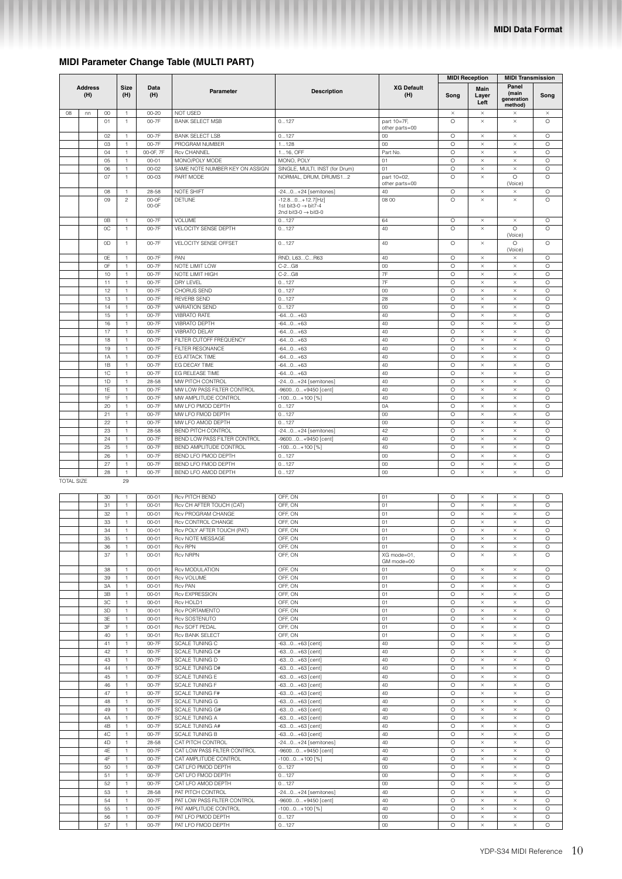## **MIDI Parameter Change Table (MULTI PART)**

|                   |                       |          |                               |                        |                                                    |                                                                                          |                               | <b>MIDI Reception</b> |                       | <b>MIDI Transmission</b>                |                     |
|-------------------|-----------------------|----------|-------------------------------|------------------------|----------------------------------------------------|------------------------------------------------------------------------------------------|-------------------------------|-----------------------|-----------------------|-----------------------------------------|---------------------|
|                   | <b>Address</b><br>(H) |          | Size<br>(H)                   | Data<br>(H)            | Parameter                                          | <b>Description</b>                                                                       | <b>XG Default</b><br>(H)      | Song                  | Main<br>Layer<br>Left | Panel<br>(main<br>generation<br>method) | Song                |
| 08                | nn                    | 00<br>01 | $\mathbf{1}$<br>$\mathbf{1}$  | $00 - 20$<br>00-7F     | NOT USED<br><b>BANK SELECT MSB</b>                 | 0127                                                                                     | part 10=7F,<br>other parts=00 | $\times$<br>$\circ$   | $\times$<br>$\times$  | $\times$<br>$\times$                    | $\times$<br>$\circ$ |
|                   |                       | 02       | 1                             | 00-7F                  | <b>BANK SELECT LSB</b>                             | 0127                                                                                     | $00\,$                        | O                     | $\times$              | $\times$                                | O                   |
|                   |                       | 03       | $\mathbb{1}$                  | 00-7F                  | PROGRAM NUMBER                                     | 1128                                                                                     | 00                            | $\circ$               | $\times$              | $\times$                                | $\circ$             |
|                   |                       | 04       | $\overline{1}$                | 00-0F, 7F              | <b>Rcv CHANNEL</b>                                 | 116, OFF                                                                                 | Part No.                      | $\circ$               | $\times$              | $\times$                                | $\circ$             |
|                   |                       | 05       | $\mathbf{1}$                  | $00 - 01$              | MONO/POLY MODE                                     | MONO, POLY                                                                               | 01                            | $\circ$<br>$\circ$    | $\times$              | $\times$                                | $\circ$<br>$\circ$  |
|                   |                       | 06<br>07 | $\mathbf{1}$<br>$\mathbf{1}$  | $00 - 02$<br>$00 - 03$ | SAME NOTE NUMBER KEY ON ASSIGN<br>PART MODE        | SINGLE, MULTI, INST (for Drum)<br>NORMAL, DRUM, DRUMS12                                  | 01<br>part 10=02.             | O                     | $\times$<br>$\times$  | $\times$<br>$\circ$                     | O                   |
|                   |                       |          |                               |                        |                                                    |                                                                                          | other parts=00                |                       |                       | (Voice)                                 |                     |
|                   |                       | 08       | 1                             | 28-58                  | NOTE SHIFT                                         | -240+24 [semitones]                                                                      | 40                            | O                     | $\times$              | $\times$                                | O                   |
|                   |                       | 09       | $\overline{c}$                | 00-0F<br>00-0F         | <b>DETUNE</b>                                      | $-12.80+12.7$ [Hz]<br>1st bit3-0 $\rightarrow$ bit7-4<br>2nd bit3-0 $\rightarrow$ bit3-0 | 08 00                         | $\circ$               | $\times$              | $\times$                                | $\circ$             |
|                   |                       | 0B<br>0C | $\mathbf{1}$<br>$\mathbf{1}$  | 00-7F<br>00-7F         | <b>VOLUME</b><br>VELOCITY SENSE DEPTH              | 0127<br>0127                                                                             | 64<br>40                      | O<br>$\circ$          | $\times$<br>$\times$  | $\times$<br>$\circ$<br>(Voice)          | O<br>$\circ$        |
|                   |                       | 0D       | $\overline{1}$                | 00-7F                  | VELOCITY SENSE OFFSET                              | 0127                                                                                     | 40                            | O                     | $\times$              | $\circ$<br>(Voice)                      | $\circ$             |
|                   |                       | 0E       | $\mathbf{1}$                  | 00-7F                  | PAN                                                | RND, L63CR63                                                                             | 40                            | O                     | $\times$              | $\times$                                | O                   |
|                   |                       | 0F       | $\mathbb{1}$                  | 00-7F                  | NOTE LIMIT LOW                                     | $C-2GB$                                                                                  | 00                            | $\circ$<br>$\circ$    | $\times$              | $\times$<br>$\times$                    | $\circ$<br>$\circ$  |
|                   |                       | 10<br>11 | $\mathbf{1}$<br>$\mathbf{1}$  | 00-7F<br>00-7F         | NOTE LIMIT HIGH<br>DRY LEVEL                       | $C-2G8$<br>0127                                                                          | 7F<br>7F                      | $\circ$               | $\times$<br>$\times$  | $\times$                                | $\circ$             |
|                   |                       | 12       | $\mathbbm{1}$                 | 00-7F                  | CHORUS SEND                                        | 0127                                                                                     | 00                            | $\circ$               | $\times$              | $\times$                                | $\circ$             |
|                   |                       | 13       | $\mathbf{1}$                  | 00-7F                  | <b>REVERB SEND</b>                                 | 0127                                                                                     | 28                            | O                     | $\times$              | $\times$                                | O                   |
|                   |                       | 14       | $\mathbf{1}$                  | 00-7F                  | <b>VARIATION SEND</b>                              | 0127                                                                                     | 00                            | O                     | $\times$              | $\times$                                | O                   |
|                   |                       | 15       | $\mathbb{1}$                  | 00-7F                  | <b>VIBRATO RATE</b>                                | $-640+63$                                                                                | 40                            | $\circ$               | $\times$              | $\times$                                | $\circ$             |
|                   |                       | 16<br>17 | $\mathbf{1}$<br>$\mathbf{1}$  | 00-7F<br>00-7F         | VIBRATO DEPTH<br><b>VIBRATO DELAY</b>              | $-640+63$<br>$-640+63$                                                                   | 40<br>40                      | O<br>O                | $\times$<br>$\times$  | $\times$<br>$\times$                    | $\circ$<br>O        |
|                   |                       | 18       | $\mathbf{1}$                  | 00-7F                  | FILTER CUTOFF FREQUENCY                            | $-640+63$                                                                                | 40                            | $\circ$               | $\times$              | $\times$                                | $\circ$             |
|                   |                       | 19       | $\mathbb{1}$                  | 00-7F                  | FILTER RESONANCE                                   | $-640+63$                                                                                | 40                            | $\circ$               | $\times$              | $\times$                                | $\circ$             |
|                   |                       | 1A       | $\mathbb{1}$                  | 00-7F                  | EG ATTACK TIME                                     | $-640+63$                                                                                | 40                            | $\circ$               | $\times$              | $\times$                                | $\circ$             |
|                   |                       | 1B       | $\mathbf{1}$                  | 00-7F                  | EG DECAY TIME                                      | $-640+63$                                                                                | 40                            | O                     | $\times$              | $\times$                                | O                   |
|                   |                       | 1C       | 1                             | 00-7F                  | EG RELEASE TIME                                    | $-640+63$                                                                                | 40                            | $\circ$               | $\times$              | $\times$                                | $\circ$             |
|                   |                       | 1D<br>1E | $\mathbf{1}$                  | 28-58                  | MW PITCH CONTROL                                   | -240+24 [semitones]                                                                      | 40<br>40                      | $\circ$               | $\times$              | $\times$                                | $\circ$             |
|                   |                       | 1F       | $\mathbf{1}$<br>$\mathbf{1}$  | 00-7F<br>00-7F         | MW LOW PASS FILTER CONTROL<br>MW AMPLITUDE CONTROL | -96000+9450 [cent]<br>$-1000+100$ [%]                                                    | 40                            | O<br>$\circ$          | $\times$<br>$\times$  | $\times$<br>$\times$                    | O<br>$\circ$        |
|                   |                       | 20       | $\mathbf{1}$                  | 00-7F                  | MW LFO PMOD DEPTH                                  | 0127                                                                                     | 0A                            | $\circ$               | $\times$              | $\times$                                | $\circ$             |
|                   |                       | 21       | $\mathbf{1}$                  | 00-7F                  | MW LFO FMOD DEPTH                                  | 0127                                                                                     | 00                            | $\circ$               | $\times$              | $\times$                                | $\circ$             |
|                   |                       | 22       | $\mathbf{1}$                  | 00-7F                  | MW LFO AMOD DEPTH                                  | 0127                                                                                     | $00\,$                        | $\circ$               | $\times$              | $\times$                                | $\circ$             |
|                   |                       | 23       | $\mathbf{1}$                  | 28-58                  | BEND PITCH CONTROL                                 | -240+24 [semitones]                                                                      | 42                            | $\circ$               | $\times$              | $\times$                                | $\circ$             |
|                   |                       | 24<br>25 | $\mathbf{1}$<br>$\mathbb{1}$  | 00-7F<br>00-7F         | BEND LOW PASS FILTER CONTROL                       | -96000+9450 [cent]                                                                       | 40<br>40                      | $\circ$<br>$\circ$    | $\times$<br>$\times$  | $\times$<br>$\times$                    | $\circ$<br>$\circ$  |
|                   |                       | 26       | $\mathbf{1}$                  | 00-7F                  | BEND AMPLITUDE CONTROL<br>BEND LFO PMOD DEPTH      | $-1000+100$ [%]<br>0127                                                                  | $00\,$                        | O                     | $\times$              | $\times$                                | O                   |
|                   |                       | 27       | 1                             | 00-7F                  | BEND LFO FMOD DEPTH                                | 0127                                                                                     | 00                            | O                     | $\times$              | $\times$                                | O                   |
|                   |                       | 28       | $\mathbb{1}$                  | 00-7F                  | BEND LFO AMOD DEPTH                                | 0127                                                                                     | 00                            | O                     | $\times$              | $\times$                                | $\circ$             |
| <b>TOTAL SIZE</b> |                       |          | 29                            |                        |                                                    |                                                                                          |                               |                       |                       |                                         |                     |
|                   |                       | 30       | $\mathbf{1}$                  | $00 - 01$              | <b>Rcv PITCH BEND</b>                              | OFF, ON                                                                                  | 01                            | $\circ$               | $\times$              | $\times$                                | $\circ$             |
|                   |                       | 31<br>32 | $\mathbf{1}$<br>$\mathbf{1}$  | $00 - 01$<br>$00 - 01$ | Rcv CH AFTER TOUCH (CAT)<br>Rcv PROGRAM CHANGE     | OFF, ON<br>OFF, ON                                                                       | 01<br>01                      | O<br>O                | $\times$<br>$\times$  | $\times$<br>$\times$                    | $\circ$<br>O        |
|                   |                       | 33       | $\mathbb{1}$                  | $00 - 01$              | Rcv CONTROL CHANGE                                 | OFF, ON                                                                                  | 01                            | $\circ$               | $\times$              | $\times$                                | $\circ$             |
|                   |                       | 34       | $\mathbf{1}$                  | $00 - 01$              | Rcv POLY AFTER TOUCH (PAT)                         | OFF, ON                                                                                  | 01                            | O                     | $\times$              | $\times$                                | O                   |
|                   |                       | 35       | $\mathbb{1}$                  | $00 - 01$              | Rcv NOTE MESSAGE                                   | OFF, ON                                                                                  | 01                            | $\circ$               | $\times$              | $\times$                                | $\circ$             |
|                   |                       | 36       | $\mathbf{1}$                  | $00 - 01$              | <b>Rcv RPN</b>                                     | OFF, ON                                                                                  | 01                            | O                     | $\times$              | $\times$                                | $\circ$             |
|                   |                       | 37       | $\mathbf{1}$                  | $00 - 01$              | <b>Rcv NRPN</b>                                    | OFF, ON                                                                                  | XG mode=01,<br>GM mode=00     | $\circ$               | $\times$              | $\times$                                | $\circ$             |
|                   |                       | 38       | $\mathbf{1}$                  | $00 - 01$              | <b>Rcv MODULATION</b>                              | OFF, ON                                                                                  | 01                            | $\circ$               | $\times$              | $\times$                                | $\circ$             |
|                   |                       | 39       | $\mathbf{1}$                  | $00 - 01$              | Rcv VOLUME                                         | OFF, ON                                                                                  | 01                            | $\circ$               | $\times$              | $\times$                                | $\circ$             |
|                   |                       | 3A       | $\mathbf{1}$                  | $00 - 01$              | <b>Rcv PAN</b>                                     | OFF, ON                                                                                  | 01                            | $\circ$               | $\times$              | $\times$                                | $\circ$             |
|                   |                       | 3B       | $\mathbbm{1}$                 | $00 - 01$              | Rcv EXPRESSION                                     | OFF, ON                                                                                  | 01                            | $\circ$               | $\times$              | $\times$                                | $\circ$             |
|                   |                       | 3C       | $\mathbf{1}$                  | $00 - 01$              | Rcv HOLD1                                          | OFF, ON                                                                                  | O <sub>1</sub>                | $\circ$               | $\times$              | $\times$                                | $\circ$             |
|                   |                       | 3D<br>3E | $\mathbf{1}$<br>$\mathbf{1}$  | $00 - 01$<br>$00 - 01$ | Rcv PORTAMENTO<br>Rcv SOSTENUTO                    | OFF, ON                                                                                  | 01<br>01                      | $\circ$<br>$\circ$    | $\times$<br>$\times$  | $\times$<br>$\times$                    | $\circ$<br>$\circ$  |
|                   |                       | 3F       | $\mathbf{1}$                  | $00 - 01$              | Rcv SOFT PEDAL                                     | OFF, ON<br>OFF, ON                                                                       | 01                            | $\circ$               | $\times$              | $\times$                                | $\circ$             |
|                   |                       | 40       | $\mathbbm{1}$                 | $00 - 01$              | Rcv BANK SELECT                                    | OFF, ON                                                                                  | O <sub>1</sub>                | $\circ$               | $\times$              | $\times$                                | $\circ$             |
|                   |                       | 41       | $\mathbf{1}$                  | 00-7F                  | SCALE TUNING C                                     | -630+63 [cent]                                                                           | 40                            | $\circ$               | $\times$              | $\times$                                | $\circ$             |
|                   |                       | 42       | $\mathbf{1}$                  | 00-7F                  | SCALE TUNING C#                                    | $-630+63$ [cent]                                                                         | 40                            | O                     | $\times$              | $\times$                                | $\circ$             |
|                   |                       | 43       | $\mathbbm{1}$                 | 00-7F                  | SCALE TUNING D                                     | $-630+63$ [cent]                                                                         | 40                            | $\circ$               | $\times$              | $\times$                                | $\circ$             |
|                   |                       | 44       | $\mathbf{1}$                  | 00-7F                  | <b>SCALE TUNING D#</b>                             | $-630+63$ [cent]                                                                         | 40                            | O                     | $\times$              | $\times$                                | O                   |
|                   |                       | 45<br>46 | $\mathbf{1}$<br>$\mathbbm{1}$ | 00-7F<br>00-7F         | SCALE TUNING E<br>SCALE TUNING F                   | $-630+63$ [cent]                                                                         | 40<br>40                      | $\circ$<br>$\circ$    | $\times$<br>$\times$  | $\times$<br>$\times$                    | O<br>$\circ$        |
|                   |                       | 47       | $\mathbf{1}$                  | 00-7F                  | SCALE TUNING F#                                    | -630+63 [cent]<br>$-630+63$ [cent]                                                       | 40                            | $\circ$               | $\times$              | $\times$                                | $\circ$             |
|                   |                       | 48       | $\mathbf{1}$                  | 00-7F                  | SCALE TUNING G                                     | $-630+63$ [cent]                                                                         | 40                            | O                     | $\times$              | $\times$                                | O                   |
|                   |                       | 49       | 1                             | 00-7F                  | <b>SCALE TUNING G#</b>                             | -630+63 [cent]                                                                           | 40                            | $\circ$               | $\times$              | $\times$                                | $\circ$             |
|                   |                       | 4A       | $\mathbf{1}$                  | 00-7F                  | SCALE TUNING A                                     | $-630+63$ [cent]                                                                         | 40                            | $\circ$               | $\times$              | $\times$                                | $\circ$             |
|                   |                       | 4B       | $\mathbf{1}$                  | 00-7F                  | SCALE TUNING A#                                    | $-630+63$ [cent]                                                                         | 40                            | $\circ$               | $\times$              | $\times$                                | $\circ$             |
|                   |                       | 4C<br>4D | $\mathbf{1}$                  | 00-7F                  | <b>SCALE TUNING B</b><br>CAT PITCH CONTROL         | $-630+63$ [cent]                                                                         | 40<br>40                      | O<br>$\circ$          | $\times$              | $\times$                                | O                   |
|                   |                       | 4E       | $\mathbf{1}$<br>$\mathbf 1$   | 28-58<br>00-7F         | CAT LOW PASS FILTER CONTROL                        | -240+24 [semitones]<br>-96000+9450 [cent]                                                | 40                            | $\circ$               | $\times$<br>$\times$  | $\times$<br>$\times$                    | O<br>O              |
|                   |                       | 4F       | $\mathbf{1}$                  | 00-7F                  | CAT AMPLITUDE CONTROL                              | $-1000+100$ [%]                                                                          | 40                            | O                     | $\times$              | $\times$                                | $\circ$             |
|                   |                       | 50       | $\mathbf{1}$                  | 00-7F                  | CAT LFO PMOD DEPTH                                 | 0127                                                                                     | 00                            | $\circ$               | $\times$              | $\times$                                | $\circ$             |
|                   |                       | 51       | $\mathbf{1}$                  | 00-7F                  | CAT LFO FMOD DEPTH                                 | 0127                                                                                     | $_{00}$                       | $\circ$               | $\times$              | $\times$                                | $\circ$             |
|                   |                       | 52       | $\mathbf{1}$                  | 00-7F                  | CAT LFO AMOD DEPTH                                 | 0127                                                                                     | 00                            | O                     | $\times$              | ×                                       | O                   |
|                   |                       | 53       | $\mathbf{1}$                  | 28-58                  | PAT PITCH CONTROL                                  | -240+24 [semitones]                                                                      | 40                            | $\circ$               | $\times$              | $\times$                                | $\circ$             |
|                   |                       | 54       | $\mathbf{1}$                  | 00-7F                  | PAT LOW PASS FILTER CONTROL                        | -96000+9450 [cent]                                                                       | 40                            | $\circ$               | $\times$              | $\times$                                | $\circ$             |
|                   |                       | 55<br>56 | $\mathbf{1}$<br>$\mathbf{1}$  | 00-7F<br>00-7F         | PAT AMPLITUDE CONTROL<br>PAT LFO PMOD DEPTH        | $-1000+100$ [%]<br>0127                                                                  | 40<br>$_{00}$                 | $\circ$<br>$\circ$    | $\times$<br>$\times$  | $\times$<br>$\times$                    | $\circ$<br>$\circ$  |
|                   |                       | 57       | 1                             | 00-7F                  | PAT LFO FMOD DEPTH                                 | 0127                                                                                     | 00                            | O                     | $\times$              | $\times$                                | $\circ$             |
|                   |                       |          |                               |                        |                                                    |                                                                                          |                               |                       |                       |                                         |                     |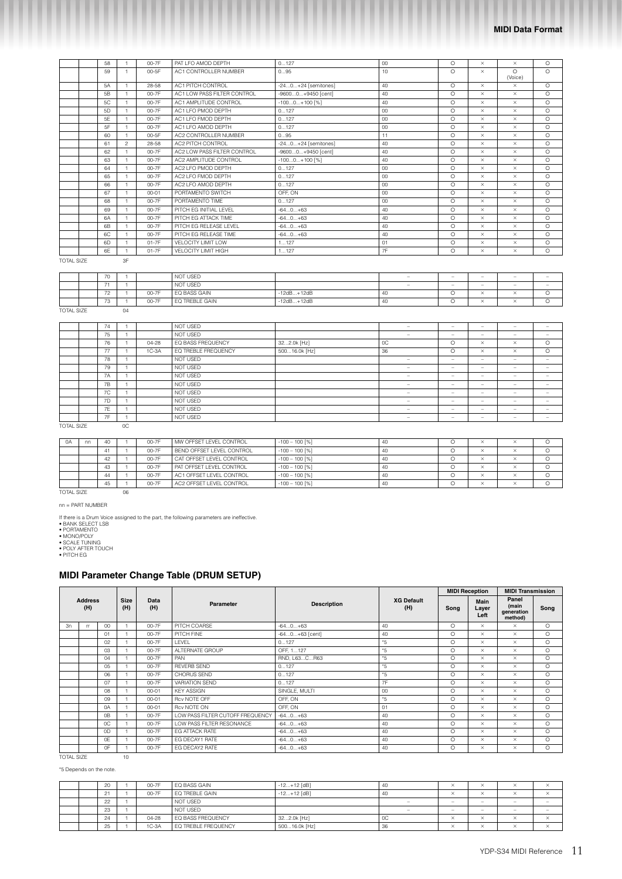|                   | 58 |                | 00-7F     | PAT LFO AMOD DEPTH          | 0127                  | $00\,$ | $\circ$ | $\times$ | $\times$            | $\circ$ |
|-------------------|----|----------------|-----------|-----------------------------|-----------------------|--------|---------|----------|---------------------|---------|
|                   | 59 |                | 00-5F     | AC1 CONTROLLER NUMBER       | 095                   | 10     | $\circ$ | $\times$ | $\Omega$<br>(Voice) | $\circ$ |
|                   | 5A | $\mathbf{1}$   | 28-58     | AC1 PITCH CONTROL           | $-240+24$ [semitones] | 40     | $\circ$ | $\times$ | $\times$            | $\circ$ |
|                   | 5B | $\mathbf{1}$   | $00 - 7F$ | AC1 LOW PASS FILTER CONTROL | -96000+9450 [cent]    | 40     | $\circ$ | $\times$ | $\times$            | O       |
|                   | 5C | $\mathbf{1}$   | $00 - 7F$ | AC1 AMPLITUDE CONTROL       | $-1000+100$ [%]       | 40     | $\circ$ | $\times$ | $\times$            | O       |
|                   | 5D | $\mathbf{1}$   | 00-7F     | AC1 LFO PMOD DEPTH          | 0127                  | $00\,$ | $\circ$ | $\times$ | $\times$            | O       |
|                   | 5E | $\mathbf{1}$   | 00-7F     | AC1 LFO FMOD DEPTH          | 0127                  | 00     | $\circ$ | $\times$ | $\times$            | $\circ$ |
|                   | 5F | $\mathbf{1}$   | $00 - 7F$ | AC1 LFO AMOD DEPTH          | 0127                  | 00     | $\circ$ | $\times$ | $\times$            | $\circ$ |
|                   | 60 | $\mathbf{1}$   | 00-5F     | AC2 CONTROLLER NUMBER       | 095                   | 11     | $\circ$ | $\times$ | $\times$            | $\circ$ |
|                   | 61 | $\mathfrak{D}$ | 28-58     | AC2 PITCH CONTROL           | $-240+24$ [semitones] | 40     | $\circ$ | $\times$ | $\times$            | $\circ$ |
|                   | 62 |                | 00-7F     | AC2 LOW PASS FILTER CONTROL | -96000+9450 [cent]    | 40     | $\circ$ | $\times$ | $\times$            | $\circ$ |
|                   | 63 | 1.             | $00 - 7F$ | AC2 AMPLITUDE CONTROL       | $-1000+100$ [%]       | 40     | $\circ$ | $\times$ | $\times$            | $\circ$ |
|                   | 64 | 1.             | 00-7F     | AC2 LFO PMOD DEPTH          | 0127                  | 00     | $\circ$ | $\times$ | $\times$            | O       |
|                   | 65 | $\mathbf{1}$   | $00 - 7F$ | AC2 LFO FMOD DEPTH          | 0127                  | 00     | $\circ$ | $\times$ | $\times$            | $\circ$ |
|                   | 66 | $\mathbf{1}$   | 00-7F     | AC2 LFO AMOD DEPTH          | 0127                  | 00     | $\circ$ | $\times$ | $\times$            | $\circ$ |
|                   | 67 |                | $00 - 01$ | PORTAMENTO SWITCH           | OFF, ON               | 00     | $\circ$ | $\times$ | $\times$            | $\circ$ |
|                   | 68 | $\mathbf{1}$   | 00-7F     | PORTAMENTO TIME             | 0127                  | 00     | $\circ$ | $\times$ | $\times$            | $\circ$ |
|                   | 69 |                | 00-7F     | PITCH EG INITIAL LEVEL      | $-640+63$             | 40     | $\circ$ | $\times$ | $\times$            | $\circ$ |
|                   | 6A | 1.             | 00-7F     | PITCH EG ATTACK TIME        | $-640+63$             | 40     | $\circ$ | $\times$ | $\times$            | $\circ$ |
|                   | 6B |                | 00-7F     | PITCH EG RELEASE LEVEL      | $-640+63$             | 40     | $\circ$ | $\times$ | $\times$            | $\circ$ |
|                   | 6C |                | 00-7F     | PITCH EG RELEASE TIME       | $-640+63$             | 40     | $\circ$ | $\times$ | $\times$            | $\circ$ |
|                   | 6D |                | $01-7F$   | <b>VELOCITY LIMIT LOW</b>   | 1127                  | 01     | $\circ$ | $\times$ | $\times$            | $\circ$ |
|                   | 6F |                | $01-7F$   | <b>VELOCITY LIMIT HIGH</b>  | 1127                  | 7F     | $\circ$ | $\times$ | $\times$            | $\circ$ |
| <b>TOTAL SIZE</b> |    | 3F             |           |                             |                       |        |         |          |                     |         |

| TOTAL SIZE |  |  |
|------------|--|--|

|                   | 70 |    |       | NOT USED       |              | $\qquad \qquad -$ | $\overline{\phantom{a}}$ | -                        | $\overline{\phantom{a}}$ | $\overline{\phantom{a}}$ |
|-------------------|----|----|-------|----------------|--------------|-------------------|--------------------------|--------------------------|--------------------------|--------------------------|
|                   |    |    |       | NOT USED       |              | $-$               | $-$                      | $\overline{\phantom{a}}$ | $\overline{\phantom{a}}$ | $\overline{\phantom{a}}$ |
|                   | 72 |    | 00-7F | EQ BASS GAIN   | $-12dB+12dB$ | 40                |                          |                          | <b>A A</b>               |                          |
|                   | 73 |    | 00-7F | EQ TREBLE GAIN | $-12dB+12dB$ | 40                |                          |                          |                          |                          |
| <b>TOTAL SIZE</b> |    | 04 |       |                |              |                   |                          |                          |                          |                          |

| 74 |           | NOT USED            |               |                          | $\overline{\phantom{a}}$ | -                        | $\overline{\phantom{a}}$ | $\overline{\phantom{a}}$ |
|----|-----------|---------------------|---------------|--------------------------|--------------------------|--------------------------|--------------------------|--------------------------|
| 75 |           | NOT USED            |               | -                        | $\overline{\phantom{a}}$ | -                        | $\overline{\phantom{a}}$ | $\overline{\phantom{a}}$ |
| 76 | $04 - 28$ | EQ BASS FREQUENCY   | 322.0k [Hz]   | OC                       | $\circ$                  | $\times$                 | $\times$                 | $\Omega$                 |
| 77 | $1C-3A$   | EQ TREBLE FREQUENCY | 50016.0k [Hz] | 36                       | $\circ$                  | $\times$                 | $\times$                 | $\circ$                  |
| 78 |           | NOT USED            |               | -                        | $\overline{\phantom{a}}$ | -                        | $\overline{\phantom{a}}$ | $\overline{\phantom{a}}$ |
| 79 |           | NOT USED            |               | $\overline{\phantom{a}}$ | $\overline{\phantom{a}}$ | $\overline{\phantom{a}}$ | $\overline{\phantom{a}}$ | $\overline{\phantom{a}}$ |
| 7A |           | NOT USED            |               | -                        | $\overline{\phantom{a}}$ | -                        | $\overline{\phantom{a}}$ | $\overline{\phantom{a}}$ |
| 7B |           | NOT USED            |               | $\overline{\phantom{a}}$ | $\overline{\phantom{a}}$ | $\overline{\phantom{a}}$ | $\overline{\phantom{a}}$ | $\overline{\phantom{a}}$ |
| 7C |           | NOT USED            |               | -                        | $\overline{\phantom{a}}$ | $\overline{\phantom{a}}$ | $\sim$                   | $\overline{\phantom{a}}$ |
| 7D |           | NOT USED            |               | $\sim$                   | $\overline{\phantom{a}}$ | $\overline{\phantom{a}}$ | $\overline{\phantom{a}}$ | $\overline{\phantom{a}}$ |
| 7E |           | NOT USED            |               | -                        | $\overline{\phantom{a}}$ | $\overline{\phantom{a}}$ | $\overline{\phantom{a}}$ | $\overline{\phantom{a}}$ |
| 7F |           | NOT USED            |               | $\overline{\phantom{a}}$ | $\overline{\phantom{a}}$ | -                        | $\overline{\phantom{a}}$ | $\overline{\phantom{a}}$ |
|    |           |                     |               |                          |                          |                          |                          |                          |

TOTAL SIZE 0C

| $\Omega$ A        | nn | 40           |    | 00-7F | MW OFFSET LEVEL CONTROL   | $-100 - 100$ [%] | 40 | $\times$ | $\times$ |  |
|-------------------|----|--------------|----|-------|---------------------------|------------------|----|----------|----------|--|
|                   |    | $\mathbf{4}$ |    | 00-7F | BEND OFFSET LEVEL CONTROL | $-100 - 100$ [%] | 40 | $\times$ | $\times$ |  |
|                   |    | 42           |    | 00-7F | CAT OFFSET LEVEL CONTROL  | $-100 - 100$ [%] | 40 | ×        | $\times$ |  |
|                   |    | 43           |    | 00-7F | PAT OFFSET LEVEL CONTROL  | $-100 - 100$ [%] | 40 | $\times$ | $\times$ |  |
|                   |    | 44           |    | 00-7F | AC1 OFFSET LEVEL CONTROL  | $-100 - 100$ [%] | 40 | $\times$ | $\times$ |  |
|                   |    | 45           |    | 00-7F | AC2 OFFSET LEVEL CONTROL  | $-100 - 100$ [%] | 40 | $\times$ | $\times$ |  |
| <b>TOTAL SIZE</b> |    |              | 06 |       |                           |                  |    |          |          |  |

nn = PART NUMBER

If there is a Drum Voice assigned to the part, the following parameters are ineffective.<br>• BANK SELECT LSB<br>• PORTAMENTO<br>• MONO/POLY<br>• SCALE TUNING<br>• POLY AFTER TOUCH<br>• PITCH EG

## **MIDI Parameter Change Table (DRUM SETUP)**

|    |                       |    |                    |             |                                  |                    |                          |         | <b>MIDI Reception</b> | <b>MIDI Transmission</b>                |         |
|----|-----------------------|----|--------------------|-------------|----------------------------------|--------------------|--------------------------|---------|-----------------------|-----------------------------------------|---------|
|    | <b>Address</b><br>(H) |    | <b>Size</b><br>(H) | Data<br>(H) | Parameter                        | <b>Description</b> | <b>XG Default</b><br>(H) | Song    | Main<br>Layer<br>Left | Panel<br>(main<br>generation<br>method) | Song    |
| 3n | <b>rr</b>             | 00 |                    | 00-7F       | PITCH COARSE                     | $-640+63$          | 40                       | $\circ$ | $\times$              | $\times$                                | $\circ$ |
|    |                       | 01 |                    | 00-7F       | PITCH FINE                       | $-640+63$ [cent]   | 40                       | $\circ$ | $\times$              | $\times$                                | $\circ$ |
|    |                       | 02 |                    | 00-7F       | LEVEL                            | 0127               | *5                       | $\circ$ | $\times$              | $\times$                                | $\circ$ |
|    |                       | 03 |                    | 00-7F       | ALTERNATE GROUP                  | OFF, 1127          | *5                       | $\circ$ | $\times$              | $\times$                                | $\circ$ |
|    |                       | 04 |                    | 00-7F       | PAN                              | RND, L63CR63       | *5                       | $\circ$ | $\times$              | $\times$                                | $\circ$ |
|    |                       | 05 |                    | 00-7F       | <b>REVERB SEND</b>               | 0127               | *5                       | $\circ$ | $\times$              | $\times$                                | $\circ$ |
|    |                       | 06 |                    | 00-7F       | CHORUS SEND                      | 0127               | *5                       | $\circ$ | $\times$              | $\times$                                | $\circ$ |
|    |                       | 07 |                    | 00-7F       | <b>VARIATION SEND</b>            | 0127               | 7F                       | $\circ$ | $\times$              | $\times$                                | $\circ$ |
|    |                       | 08 |                    | $00 - 01$   | <b>KEY ASSIGN</b>                | SINGLE, MULTI      | 00                       | $\circ$ | $\times$              | $\times$                                | $\circ$ |
|    |                       | 09 |                    | $00 - 01$   | Rcv NOTE OFF                     | OFF. ON            | *5                       | $\circ$ | $\times$              | $\times$                                | $\circ$ |
|    |                       | 0A |                    | $00 - 01$   | Rcv NOTE ON                      | OFF, ON            | 01                       | $\circ$ | $\times$              | $\times$                                | $\circ$ |
|    |                       | 0B |                    | 00-7F       | LOW PASS FILTER CUTOFF FREQUENCY | $-640+63$          | 40                       | $\circ$ | $\times$              | $\times$                                | $\circ$ |
|    |                       | 0C |                    | 00-7F       | LOW PASS FILTER RESONANCE        | $-640+63$          | 40                       | $\circ$ | $\times$              | $\times$                                | $\circ$ |
|    |                       | 0D |                    | 00-7F       | EG ATTACK RATE                   | $-640+63$          | 40                       | $\circ$ | $\times$              | $\times$                                | $\circ$ |
|    |                       | 0E |                    | 00-7F       | EG DECAY1 RATE                   | $-640+63$          | 40                       | $\circ$ | $\times$              | $\times$                                | $\circ$ |
|    |                       | 0F |                    | 00-7F       | EG DECAY2 RATE                   | $-640+63$          | 40                       | O       | $\times$              | $\times$                                | $\circ$ |

TOTAL SIZE 10

\*5 Depends on the note.

|  | 20                 | 00-7F     | EQ BASS GAIN        | $-12+12$ [dB] | 40             | ㅅ                               |                          | ⌒                        | $\times$                        |
|--|--------------------|-----------|---------------------|---------------|----------------|---------------------------------|--------------------------|--------------------------|---------------------------------|
|  | $\sim$<br><u>.</u> | 00-7F     | EQ TREBLE GAIN      | $-12+12$ [dB] | 40             | $\sim$<br>х                     |                          | ⌒                        | $\times$                        |
|  | 22                 |           | NOT USED            |               | $\equiv$       | $\hspace{0.1mm}-\hspace{0.1mm}$ | $\overline{\phantom{a}}$ | $\overline{\phantom{a}}$ | $\hspace{0.1mm}-\hspace{0.1mm}$ |
|  | 23                 |           | NOT USED            |               | -              | $\overline{\phantom{a}}$        | $\overline{\phantom{a}}$ | $\overline{\phantom{a}}$ | $\overline{\phantom{a}}$        |
|  | 24                 | $04 - 28$ | EQ BASS FREQUENCY   | 322.0k [Hz]   | <sub>0</sub> C | ㅅ                               |                          | ⌒                        | $\times$                        |
|  | 25                 | $1C-3A$   | EQ TREBLE FREQUENCY | 50016.0k [Hz] | 36             | ㅅ                               |                          |                          | $\times$                        |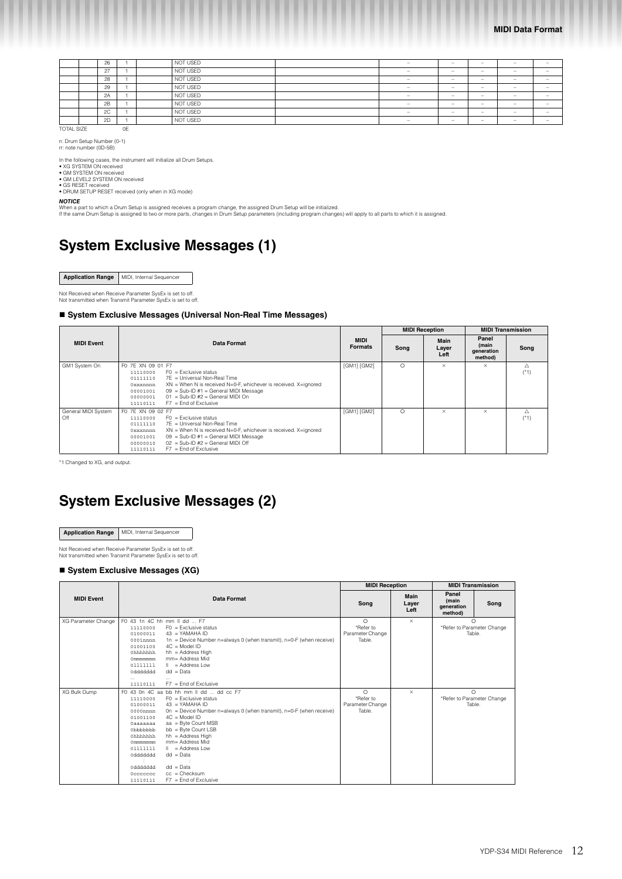|                   | 26 |    | NOT USED | -                        | $\overline{\phantom{a}}$ | - | -                        | $\overline{\phantom{a}}$ |
|-------------------|----|----|----------|--------------------------|--------------------------|---|--------------------------|--------------------------|
|                   | 27 |    | NOT USED | $\overline{\phantom{a}}$ | $\overline{\phantom{0}}$ | - | $\overline{\phantom{0}}$ | $\overline{\phantom{a}}$ |
|                   | 28 |    | NOT USED | $\overline{\phantom{a}}$ | $\overline{\phantom{a}}$ | - | $\overline{\phantom{a}}$ | $\overline{\phantom{a}}$ |
|                   | 29 |    | NOT USED | $\overline{\phantom{a}}$ | $-$                      | - | -                        | $\overline{\phantom{a}}$ |
|                   | 2A |    | NOT USED | -                        | $\overline{\phantom{a}}$ | - | $\overline{\phantom{a}}$ | $\overline{\phantom{a}}$ |
|                   | 2B |    | NOT USED | -                        | $\overline{\phantom{a}}$ | - | $\overline{\phantom{a}}$ | $\overline{\phantom{a}}$ |
|                   | 2C |    | NOT USED | -                        | $\overline{\phantom{a}}$ | - | $\overline{\phantom{a}}$ | $\overline{\phantom{a}}$ |
|                   | 2D |    | NOT USED | -                        | $\overline{\phantom{a}}$ | - | -                        | $\overline{\phantom{a}}$ |
| <b>TOTAL SIZE</b> |    | 0E |          |                          |                          |   |                          |                          |

n: Drum Setup Number (0-1) rr: note number (0D-5B)

In the following cases, the instrument will initialize all Drum Setups.<br>◆ XG SYSTEM ON received<br>● GM SYSTEM ON received<br>● GM LEVEL2 SYSTEM ON received

• GS RESET received • DRUM SETUP RESET received (only when in XG mode)

*NOTICE*

When a part to which a Drum Setup is assigned receives a program change, the assigned Drum Setup will be initialized.<br>If the same Drum Setup is assigned to two or more parts, changes in Drum Setup parameters (including pro

## **System Exclusive Messages (1)**

| Application Range   MIDI, Internal Sequencer |
|----------------------------------------------|

Not Received when Receive Parameter SysEx is set to off. Not transmitted when Transmit Parameter SysEx is set to off.

#### ■ System Exclusive Messages (Universal Non-Real Time Messages)

|                            |                                                                                                                                                                                                                                                                                                                                        |                               |          | <b>MIDI Reception</b> | <b>MIDI Transmission</b>                |             |
|----------------------------|----------------------------------------------------------------------------------------------------------------------------------------------------------------------------------------------------------------------------------------------------------------------------------------------------------------------------------------|-------------------------------|----------|-----------------------|-----------------------------------------|-------------|
| <b>MIDI Event</b>          | Data Format                                                                                                                                                                                                                                                                                                                            | <b>MIDI</b><br><b>Formats</b> | Song     | Main<br>Layer<br>Left | Panel<br>(main<br>generation<br>method) | Song        |
| GM1 System On              | FO 7E XN 09 01 F7<br>$FO = Exclusive status$<br>11110000<br>7E = Universal Non-Real Time<br>01111110<br>XN = When N is received N=0-F, whichever is received. X=ignored<br>0xxxnnnn<br>$09 = Sub-ID #1 = General MIDI Message$<br>00001001<br>$01 =$ Sub-ID #2 = General MIDI On<br>00000001<br>$F7 =$ End of Exclusive<br>11110111    | [GM1] [GM2]                   | $\Omega$ | $\times$              | $\times$                                | Λ<br>$(*1)$ |
| General MIDI System<br>Off | FO 7E XN 09 02 F7<br>$FO = Exclusive status$<br>11110000<br>7E = Universal Non-Real Time<br>01111110<br>$XN =$ When N is received N=0-F, whichever is received. X=ignored<br>0xxxnnnn<br>$09 = Sub-ID #1 = General MIDI Message$<br>00001001<br>$02 = Sub-ID #2 = General MIDI Off$<br>00000010<br>$F7 =$ End of Exclusive<br>11110111 | [GM1] [GM2]                   | $\circ$  | $\times$              | $\times$                                | Λ<br>$(*1)$ |

\*1 Changed to XG, and output.

# **System Exclusive Messages (2)**

**Application Range** MIDI, Internal Sequencer

Not Received when Receive Parameter SysEx is set to off. Not transmitted when Transmit Parameter SysEx is set to off.

## ■ System Exclusive Messages (XG)

|                     |                                                                                                                                                                                                                                                                                                                                                                                                                                                                                                                                                    | <b>MIDI Reception</b>                               |                       | <b>MIDI Transmission</b>                          |      |
|---------------------|----------------------------------------------------------------------------------------------------------------------------------------------------------------------------------------------------------------------------------------------------------------------------------------------------------------------------------------------------------------------------------------------------------------------------------------------------------------------------------------------------------------------------------------------------|-----------------------------------------------------|-----------------------|---------------------------------------------------|------|
| <b>MIDI Event</b>   | Data Format                                                                                                                                                                                                                                                                                                                                                                                                                                                                                                                                        | Song                                                | Main<br>Layer<br>Left | Panel<br>(main<br>generation<br>method)           | Song |
| XG Parameter Change | F0 43 1n 4C hh mm II dd  F7<br>$FO = Exclusive status$<br>11110000<br>$43 = YAMAHA ID$<br>01000011<br>1n = Device Number n=always 0 (when transmit), n=0-F (when receive)<br>$0001$ nnnn<br>$4C = Model ID$<br>01001100<br>hh = Address High<br>Ohhhhhh<br>$mm = Address Mid$<br>Ommmmmmm<br>$\ $ = Address Low<br>01111111<br>$dd = Data$<br>0ddddddd<br>$\cdots$<br>$F7 =$ End of Exclusive<br>11110111                                                                                                                                          | $\Omega$<br>*Refer to<br>Parameter Change<br>Table. | $\times$              | $\bigcap$<br>*Refer to Parameter Change<br>Table. |      |
| XG Bulk Dump        | F0 43 0n 4C aa bb hh mm II dd  dd cc F7<br>$FO = Exclusive status$<br>11110000<br>$43 = YAMAHA ID$<br>01000011<br>On = Device Number $n=$ always 0 (when transmit), $n=0$ -F (when receive)<br>0000nnnn<br>$4C = Model ID$<br>01001100<br>aa = Byte Count MSB<br><b>Oaaaaaaa</b><br>bb = Byte Count LSB<br>0bbbbbbb<br>$hh = Address High$<br>Ohhhhhh<br>mm= Address Mid<br>Ommmmmmm<br>$\ $ = Address Low<br>01111111<br>$dd = Data$<br>0ddddddd<br>$dd = Data$<br>0ddddddd<br>$cc =$ Checksum<br>0ccccccc<br>$F7 =$ End of Exclusive<br>11110111 | $\circ$<br>*Refer to<br>Parameter Change<br>Table.  | $\times$              | $\circ$<br>*Refer to Parameter Change<br>Table.   |      |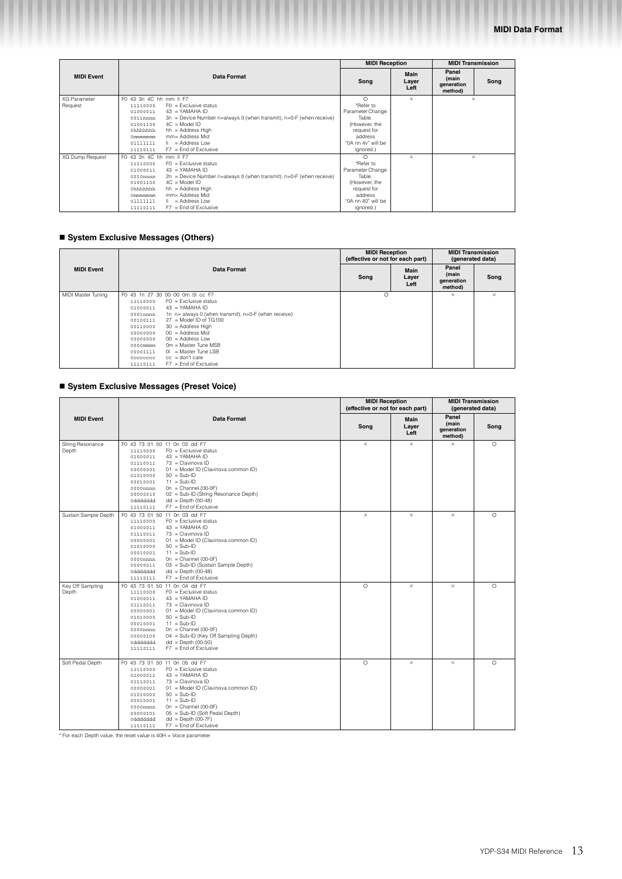|                                |                                                                                                                                                                                                                                                                                                                                                                          | <b>MIDI Reception</b>                                                                                                            |                       | <b>MIDI Transmission</b>                        |
|--------------------------------|--------------------------------------------------------------------------------------------------------------------------------------------------------------------------------------------------------------------------------------------------------------------------------------------------------------------------------------------------------------------------|----------------------------------------------------------------------------------------------------------------------------------|-----------------------|-------------------------------------------------|
| <b>MIDI Event</b>              | <b>Data Format</b>                                                                                                                                                                                                                                                                                                                                                       | Song                                                                                                                             | Main<br>Layer<br>Left | Panel<br>(main<br>Song<br>generation<br>method) |
| <b>XG Parameter</b><br>Request | F0 43 3n 4C hh mm II F7<br>$FO = Exclusive status$<br>11110000<br>$43 = YAMAHA ID$<br>01000011<br>$3n$ = Device Number n=always 0 (when transmit), n=0-F (when receive)<br>0011nnnn<br>$4C = Model ID$<br>01001100<br>$hh = Address High$<br>Ohhhhhhh<br>mm= Address Mid<br>Ommmmmmm<br>= Address Low<br>01111111<br>$\mathbb{I}$<br>$F7 =$ End of Exclusive<br>11110111 | $\circ$<br>*Refer to<br>Parameter Change<br>Table.<br>(However, the<br>request for<br>address<br>"0A nn 4v" will be<br>ignored.) | $\times$              | $\times$                                        |
| XG Dump Request                | F0 43 2n 4C hh mm II F7<br>$FO = Exclusive status$<br>11110000<br>$43 = YAMAHA ID$<br>01000011<br>$2n =$ Device Number n=always 0 (when transmit), n=0-F (when receive)<br>0010nnnn<br>$4C = Model ID$<br>01001100<br>$hh = Address High$<br>Ohhhhhhh<br>mm= Address Mid<br>Ommmmmmm<br>= Address Low<br>01111111<br>$\mathbf{H}$<br>$F7 =$ End of Exclusive<br>11110111 | $\circ$<br>*Refer to<br>Parameter Change<br>Table.<br>(However, the<br>request for<br>address<br>"0A nn 40" will be<br>ignored.) | $\times$              | $\times$                                        |

## **System Exclusive Messages (Others)**

|                    |                                                                                                 | <b>MIDI Reception</b><br>(effective or not for each part) |                       | (generated data)                        | <b>MIDI Transmission</b> |
|--------------------|-------------------------------------------------------------------------------------------------|-----------------------------------------------------------|-----------------------|-----------------------------------------|--------------------------|
| <b>MIDI Event</b>  | Data Format                                                                                     | Song                                                      | Main<br>Layer<br>Left | Panel<br>(main<br>generation<br>method) | Song                     |
| MIDI Master Tuning | F0 43 1n 27 30 00 00 0m 0l cc F7<br>$FO = Exclusive status$<br>11110000                         | $\Omega$                                                  |                       | $\times$                                | $\times$                 |
|                    | $43 = YAMAHA ID$<br>01000011                                                                    |                                                           |                       |                                         |                          |
|                    | 1n n= always 0 (when transmit), n=0-F (when receive)<br>$0001$ nnnn<br>$27 =$ Model ID of TG100 |                                                           |                       |                                         |                          |
|                    | 00100111<br>$30 =$ Address High<br>00110000                                                     |                                                           |                       |                                         |                          |
|                    | $00 =$ Address Mid<br>00000000                                                                  |                                                           |                       |                                         |                          |
|                    | $00 =$ Address Low<br>00000000                                                                  |                                                           |                       |                                         |                          |
|                    | $Om = Master$ Tune MSB<br>0000mmmm                                                              |                                                           |                       |                                         |                          |
|                    | $01$ = Master Tune LSB<br>00001111                                                              |                                                           |                       |                                         |                          |
|                    | $cc =$ don't care<br>0ccccccc                                                                   |                                                           |                       |                                         |                          |
|                    | $F7 =$ End of Exclusive<br>11110111                                                             |                                                           |                       |                                         |                          |

## **System Exclusive Messages (Preset Voice)**

|                           |                                                                                                                                                                                                                                                                                                                                                                                                                           | <b>MIDI Reception</b><br>(effective or not for each part) |                       | <b>MIDI Transmission</b><br>(generated data) |          |
|---------------------------|---------------------------------------------------------------------------------------------------------------------------------------------------------------------------------------------------------------------------------------------------------------------------------------------------------------------------------------------------------------------------------------------------------------------------|-----------------------------------------------------------|-----------------------|----------------------------------------------|----------|
| <b>MIDI Event</b>         | Data Format                                                                                                                                                                                                                                                                                                                                                                                                               | Song                                                      | Main<br>Layer<br>Left | Panel<br>(main<br>generation<br>method)      | Song     |
| String Resonance<br>Depth | F0 43 73 01 50 11 0n 02 dd F7<br>$FO = Exclusive status$<br>11110000<br>$43 = YAMAHA ID$<br>01000011<br>$01110011$ $73$ = Clavinova ID<br>01 = Model ID (Clavinova common ID)<br>00000001<br>$50 = Sub-ID$<br>01010000<br>$11 = Sub-ID$<br>00010001<br>$0n =$ Channel (00-0F)<br>0000nnnn<br>02 = Sub-ID (String Resonance Depth)<br>00000010<br>$dd = Depth (00-48)$<br>0ddddddd<br>$F7 =$ End of Exclusive<br>11110111  | $\times$                                                  | $\times$              | $\times$                                     | $\circ$  |
| Sustain Sample Depth      | F0 43 73 01 50 11 0n 03 dd F7<br>$FO = Exclusive status$<br>11110000<br>$43 = YAMAHA ID$<br>01000011<br>01110011 73 = Clavinova ID<br>01 = Model ID (Clavinova common ID)<br>00000001<br>$50 = Sub-ID$<br>01010000<br>$11 = Sub-ID$<br>00010001<br>$On = Channel (00-0F)$<br>0000nnnn<br>03 = Sub-ID (Sustain Sample Depth)<br>00000011<br>$dd = Depth (00-48)$<br>0ddddddd<br>$F7 =$ End of Exclusive<br>11110111        | $\times$                                                  | $\times$              | $\times$                                     | $\circ$  |
| Key Off Sampling<br>Depth | F0 43 73 01 50 11 0n 04 dd F7<br>$FO = Exclusive status$<br>11110000<br>$43 = YAMAHA ID$<br>01000011<br>$73$ = Clavinova ID<br>01110011<br>01 = Model ID (Clavinova common ID)<br>00000001<br>$50 = Sub-ID$<br>01010000<br>$11 = Sub-ID$<br>00010001<br>$0n =$ Channel (00-0F)<br>0000nnnn<br>04 = Sub-ID (Key Off Sampling Depth)<br>00000100<br>$dd = Depth (00-50)$<br>0ddddddd<br>$F7 =$ End of Exclusive<br>11110111 | $\circ$                                                   | $\times$              | $\times$                                     | $\circ$  |
| Soft Pedal Depth          | F0 43 73 01 50 11 0n 05 dd F7<br>$FO = Exclusive status$<br>11110000<br>$43 = YAMAHA ID$<br>01000011<br>73 = Clavinova ID<br>01110011<br>01 = Model ID (Clavinova common ID)<br>00000001<br>$50 = Sub-ID$<br>01010000<br>$11 = Sub-ID$<br>00010001<br>$0n =$ Channel (00-0F)<br>0000nnnn<br>05 = Sub-ID (Soft Pedal Depth)<br>00000101<br>0ddddddd<br>$dd = \text{Depth}(00-7F)$<br>$F7 =$ End of Exclusive<br>11110111   | $\circ$                                                   | $\times$              | $\times$                                     | $\Omega$ |

\* For each Depth value, the reset value is 40H = Voice parameter